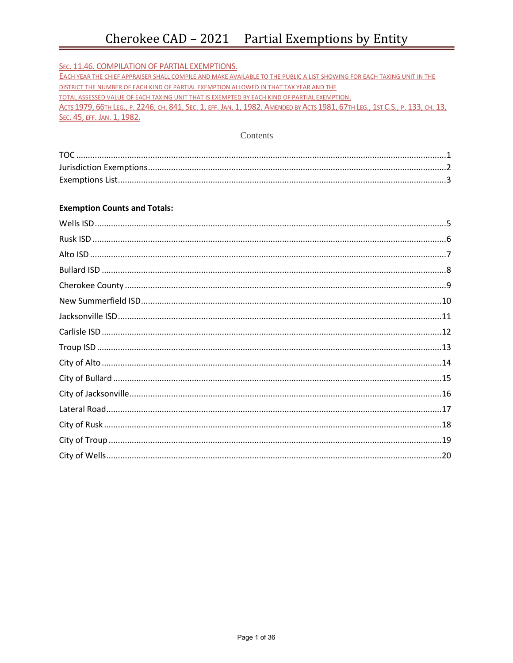## Cherokee CAD - 2021 Partial Exemptions by Entity

| SEC. 11.46. COMPILATION OF PARTIAL EXEMPTIONS.                                                                                |
|-------------------------------------------------------------------------------------------------------------------------------|
| EACH YEAR THE CHIEF APPRAISER SHALL COMPILE AND MAKE AVAILABLE TO THE PUBLIC A LIST SHOWING FOR EACH TAXING UNIT IN THE       |
| DISTRICT THE NUMBER OF EACH KIND OF PARTIAL EXEMPTION ALLOWED IN THAT TAX YEAR AND THE                                        |
| TOTAL ASSESSED VALUE OF EACH TAXING UNIT THAT IS EXEMPTED BY EACH KIND OF PARTIAL EXEMPTION.                                  |
| Астѕ 1979, 66тн Leg., р. 2246, сн. 841, Sec. 1, егг. Јал. 1, 1982. Амелрер ву Астѕ 1981, 67тн Leg., 1ѕт С.S., р. 133, сн. 13, |
| SEC. 45, EFF. JAN. 1, 1982.                                                                                                   |

### Contents

### **Exemption Counts and Totals:**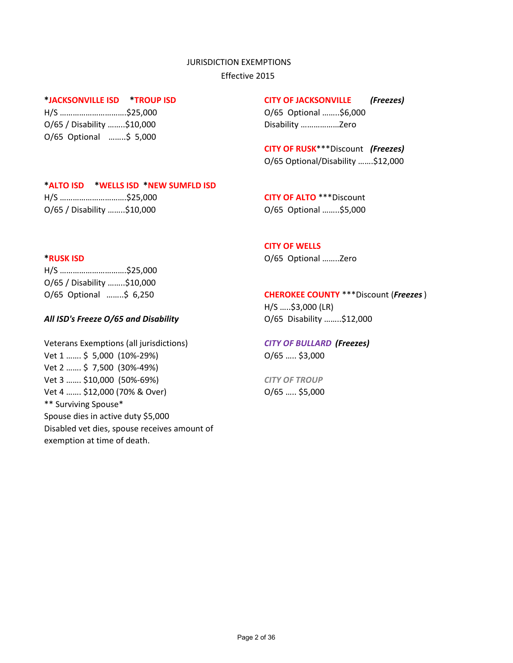#### JURISDICTION EXEMPTIONS

Effective 2015

O/65 / Disability ……..\$10,000 Disability …………………… Zero O/65 Optional ……..\$ 5,000

#### **\*JACKSONVILLE ISD \*TROUP ISD CITY OF JACKSONVILLE** *(Freezes)*

H/S ………………………….\$25,000 O/65 Optional ……..\$6,000

**CITY OF RUSK**\*\*\*Discount *(Freezes)* O/65 Optional/Disability …….\$12,000

### **\*ALTO ISD \*WELLS ISD \*NEW SUMFLD ISD**

H/S ………………………….\$25,000 **CITY OF ALTO** \*\*\*Discount O/65 / Disability ……..\$10,000 O/65 Optional ……..\$5,000

### **CITY OF WELLS**

**\*RUSK ISD** O/65 Optional ……..Zero

H/S ………………………….\$25,000 O/65 / Disability ……..\$10,000

### *All ISD's Freeze O/65 and Disability* O/65 Disability ……..\$12,000

Veterans Exemptions (all jurisdictions) *CITY OF BULLARD (Freezes)* Vet 1 ……. \$ 5,000 (10%-29%) O/65 ….. \$3,000 Vet 2 ……. \$ 7,500 (30%-49%) Vet 3 ……. \$10,000 (50%-69%) *CITY OF TROUP*  Vet 4 ....... \$12,000 (70% & Over) 0/65 ..... \$5,000 \*\* Surviving Spouse\* Spouse dies in active duty \$5,000 Disabled vet dies, spouse receives amount of exemption at time of death.

### O/65 Optional ……..\$ 6,250 **CHEROKEE COUNTY** \*\*\*Discount (*Freezes*)

H/S …..\$3,000 (LR)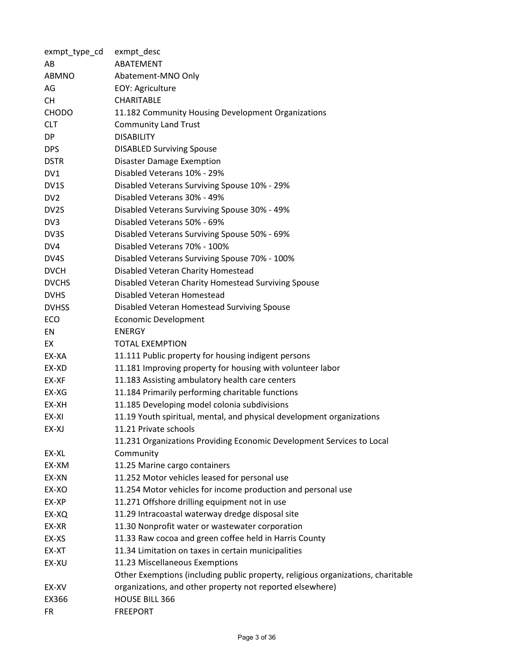| exmpt_type_cd   | exmpt_desc                                                                       |
|-----------------|----------------------------------------------------------------------------------|
| AB              | ABATEMENT                                                                        |
| ABMNO           | Abatement-MNO Only                                                               |
| AG              | EOY: Agriculture                                                                 |
| <b>CH</b>       | <b>CHARITABLE</b>                                                                |
| <b>CHODO</b>    | 11.182 Community Housing Development Organizations                               |
| <b>CLT</b>      | <b>Community Land Trust</b>                                                      |
| DP              | <b>DISABILITY</b>                                                                |
| <b>DPS</b>      | <b>DISABLED Surviving Spouse</b>                                                 |
| <b>DSTR</b>     | <b>Disaster Damage Exemption</b>                                                 |
| DV1             | Disabled Veterans 10% - 29%                                                      |
| DV1S            | Disabled Veterans Surviving Spouse 10% - 29%                                     |
| DV <sub>2</sub> | Disabled Veterans 30% - 49%                                                      |
| DV2S            | Disabled Veterans Surviving Spouse 30% - 49%                                     |
| DV3             | Disabled Veterans 50% - 69%                                                      |
| DV3S            | Disabled Veterans Surviving Spouse 50% - 69%                                     |
| DV4             | Disabled Veterans 70% - 100%                                                     |
| DV4S            | Disabled Veterans Surviving Spouse 70% - 100%                                    |
| <b>DVCH</b>     | Disabled Veteran Charity Homestead                                               |
| <b>DVCHS</b>    | Disabled Veteran Charity Homestead Surviving Spouse                              |
| <b>DVHS</b>     | Disabled Veteran Homestead                                                       |
| <b>DVHSS</b>    | Disabled Veteran Homestead Surviving Spouse                                      |
| ECO             | <b>Economic Development</b>                                                      |
| EN              | <b>ENERGY</b>                                                                    |
| EX              | <b>TOTAL EXEMPTION</b>                                                           |
| EX-XA           | 11.111 Public property for housing indigent persons                              |
| EX-XD           | 11.181 Improving property for housing with volunteer labor                       |
| EX-XF           | 11.183 Assisting ambulatory health care centers                                  |
| EX-XG           | 11.184 Primarily performing charitable functions                                 |
| EX-XH           | 11.185 Developing model colonia subdivisions                                     |
| EX-XI           | 11.19 Youth spiritual, mental, and physical development organizations            |
| EX-XJ           | 11.21 Private schools                                                            |
|                 | 11.231 Organizations Providing Economic Development Services to Local            |
| EX-XL           | Community                                                                        |
| EX-XM           | 11.25 Marine cargo containers                                                    |
| EX-XN           | 11.252 Motor vehicles leased for personal use                                    |
| EX-XO           | 11.254 Motor vehicles for income production and personal use                     |
| EX-XP           | 11.271 Offshore drilling equipment not in use                                    |
| EX-XQ           | 11.29 Intracoastal waterway dredge disposal site                                 |
| EX-XR           | 11.30 Nonprofit water or wastewater corporation                                  |
| EX-XS           | 11.33 Raw cocoa and green coffee held in Harris County                           |
| EX-XT           | 11.34 Limitation on taxes in certain municipalities                              |
| EX-XU           | 11.23 Miscellaneous Exemptions                                                   |
|                 | Other Exemptions (including public property, religious organizations, charitable |
| EX-XV           | organizations, and other property not reported elsewhere)                        |
| EX366           | <b>HOUSE BILL 366</b>                                                            |
| <b>FR</b>       | <b>FREEPORT</b>                                                                  |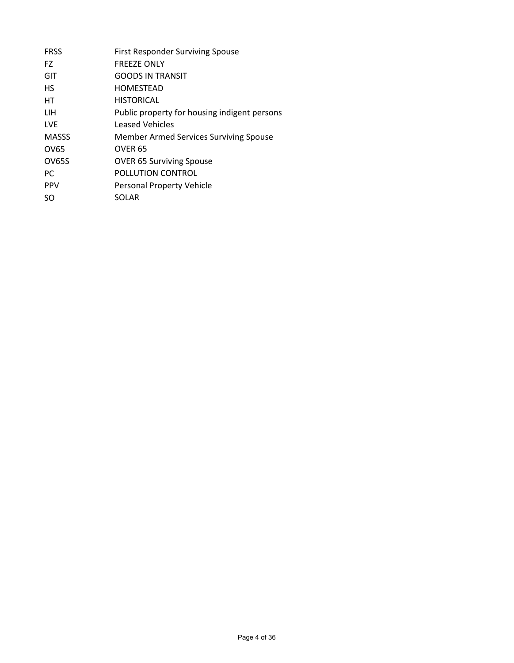| <b>FRSS</b>   | <b>First Responder Surviving Spouse</b>      |
|---------------|----------------------------------------------|
| FZ.           | <b>FREEZE ONLY</b>                           |
| GIT           | <b>GOODS IN TRANSIT</b>                      |
| <b>HS</b>     | <b>HOMESTEAD</b>                             |
| НT            | <b>HISTORICAL</b>                            |
| LIH           | Public property for housing indigent persons |
| <b>LVF</b>    | <b>Leased Vehicles</b>                       |
| <b>MASSS</b>  | Member Armed Services Surviving Spouse       |
| OV65          | OVER <sub>65</sub>                           |
| <b>OV65S</b>  | <b>OVER 65 Surviving Spouse</b>              |
| <sub>PC</sub> | POLLUTION CONTROL                            |
| <b>PPV</b>    | Personal Property Vehicle                    |
| SO.           | <b>SOLAR</b>                                 |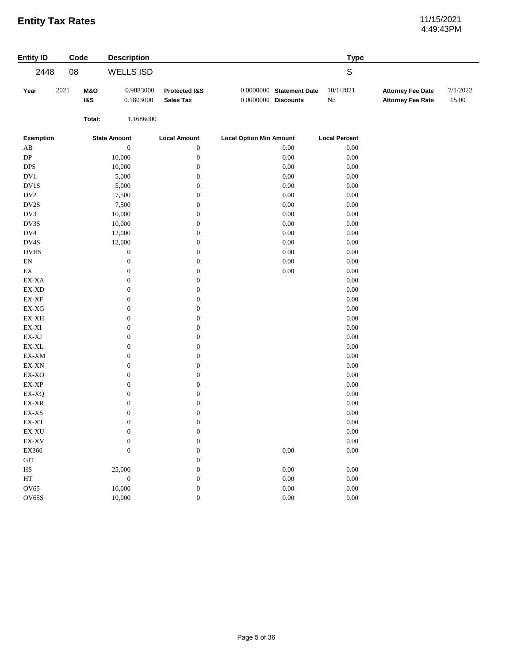# 4:49:43PM

| <b>Entity ID</b>                                           | Code |                                  | <b>Description</b>     |                                   |                                                   | <b>Type</b>           |                                                      |                   |
|------------------------------------------------------------|------|----------------------------------|------------------------|-----------------------------------|---------------------------------------------------|-----------------------|------------------------------------------------------|-------------------|
| 2448                                                       | 08   |                                  | <b>WELLS ISD</b>       |                                   |                                                   | $\mathsf S$           |                                                      |                   |
| Year                                                       | 2021 | <b>M&amp;O</b><br><b>1&amp;S</b> | 0.9883000<br>0.1803000 | Protected I&S<br><b>Sales Tax</b> | 0.0000000 Statement Date<br>$0.0000000$ Discounts | 10/1/2021<br>$\rm No$ | <b>Attorney Fee Date</b><br><b>Attorney Fee Rate</b> | 7/1/2022<br>15.00 |
|                                                            |      | Total:                           | 1.1686000              |                                   |                                                   |                       |                                                      |                   |
| <b>Exemption</b>                                           |      |                                  | <b>State Amount</b>    | <b>Local Amount</b>               | <b>Local Option Min Amount</b>                    | <b>Local Percent</b>  |                                                      |                   |
| $\mathbf{A}\mathbf{B}$                                     |      |                                  | $\boldsymbol{0}$       | $\boldsymbol{0}$                  | 0.00                                              | $0.00\,$              |                                                      |                   |
| ${\rm DP}$                                                 |      |                                  | 10,000                 | $\boldsymbol{0}$                  | $0.00\,$                                          | $0.00\,$              |                                                      |                   |
| <b>DPS</b>                                                 |      |                                  | 10,000                 | $\boldsymbol{0}$                  | $0.00\,$                                          | $0.00\,$              |                                                      |                   |
| $\rm DV1$                                                  |      |                                  | 5,000                  | $\boldsymbol{0}$                  | $0.00\,$                                          | $0.00\,$              |                                                      |                   |
| DV1S                                                       |      |                                  | 5,000                  | $\boldsymbol{0}$                  | $0.00\,$                                          | 0.00                  |                                                      |                   |
| $\rm DV2$                                                  |      |                                  | 7,500                  | $\boldsymbol{0}$                  | $0.00\,$                                          | $0.00\,$              |                                                      |                   |
| DV2S                                                       |      |                                  | 7,500                  | $\boldsymbol{0}$                  | $0.00\,$                                          | $0.00\,$              |                                                      |                   |
| DV3                                                        |      |                                  | 10,000                 | $\boldsymbol{0}$                  | $0.00\,$                                          | $0.00\,$              |                                                      |                   |
| DV3S                                                       |      |                                  | 10,000                 | $\boldsymbol{0}$                  | 0.00                                              | $0.00\,$              |                                                      |                   |
| $\rm DV4$                                                  |      |                                  | 12,000                 | $\boldsymbol{0}$                  | $0.00\,$                                          | $0.00\,$              |                                                      |                   |
| DV4S                                                       |      |                                  | 12,000                 | $\boldsymbol{0}$                  | $0.00\,$                                          | $0.00\,$              |                                                      |                   |
| $_{\mathrm{DVHS}}$                                         |      |                                  | $\boldsymbol{0}$       | $\boldsymbol{0}$                  | $0.00\,$                                          | $0.00\,$              |                                                      |                   |
| ${\rm EN}$                                                 |      |                                  | $\boldsymbol{0}$       | $\boldsymbol{0}$                  | $0.00\,$                                          | 0.00                  |                                                      |                   |
| $\mathop{\rm EX}\nolimits$                                 |      |                                  | $\boldsymbol{0}$       | $\boldsymbol{0}$                  | $0.00\,$                                          | $0.00\,$              |                                                      |                   |
| $\mathbf{EX}\text{-}\mathbf{XA}$                           |      |                                  | $\boldsymbol{0}$       | $\boldsymbol{0}$                  |                                                   | $0.00\,$              |                                                      |                   |
| $\mathbf{EX}\text{-}\mathbf{X}\mathbf{D}$                  |      |                                  | $\boldsymbol{0}$       | $\boldsymbol{0}$                  |                                                   | $0.00\,$              |                                                      |                   |
| $\mathbf{EX}\text{-}\mathbf{XF}$                           |      |                                  | $\boldsymbol{0}$       | $\boldsymbol{0}$                  |                                                   | $0.00\,$              |                                                      |                   |
| $EX-XG$                                                    |      |                                  | $\boldsymbol{0}$       | $\boldsymbol{0}$                  |                                                   | $0.00\,$              |                                                      |                   |
| $\mathbf{EX}\text{-}\mathbf{X}\mathbf{H}$                  |      |                                  | $\boldsymbol{0}$       | $\boldsymbol{0}$                  |                                                   | $0.00\,$              |                                                      |                   |
| $\mathbf{EX}\text{-}\mathbf{XI}$                           |      |                                  | $\boldsymbol{0}$       | $\boldsymbol{0}$                  |                                                   | $0.00\,$              |                                                      |                   |
| $\mathbf{EX}\text{-}\mathbf{X}\mathbf{J}$                  |      |                                  | $\boldsymbol{0}$       | $\boldsymbol{0}$                  |                                                   | $0.00\,$              |                                                      |                   |
| $\mathsf{EX}\text{-}\mathsf{XL}$                           |      |                                  | $\boldsymbol{0}$       | $\boldsymbol{0}$                  |                                                   | $0.00\,$              |                                                      |                   |
| $\mathbf{EX}\text{-}\mathbf{XM}$                           |      |                                  | $\boldsymbol{0}$       | $\boldsymbol{0}$                  |                                                   | $0.00\,$              |                                                      |                   |
| $\mathbf{EX}\text{-}\mathbf{X}\mathbf{N}$                  |      |                                  | $\boldsymbol{0}$       | $\boldsymbol{0}$                  |                                                   | $0.00\,$              |                                                      |                   |
| $\ensuremath{\text{EX-XO}}$                                |      |                                  | $\boldsymbol{0}$       | $\boldsymbol{0}$                  |                                                   | $0.00\,$              |                                                      |                   |
| EX-XP                                                      |      |                                  | $\boldsymbol{0}$       | $\boldsymbol{0}$                  |                                                   | $0.00\,$              |                                                      |                   |
| EX-XQ                                                      |      |                                  | $\boldsymbol{0}$       | $\boldsymbol{0}$                  |                                                   | $0.00\,$              |                                                      |                   |
| $\mathop{\rm EX}\nolimits\text{-}\mathop{\rm XR}\nolimits$ |      |                                  | $\boldsymbol{0}$       | $\boldsymbol{0}$                  |                                                   | $0.00\,$              |                                                      |                   |
| $\mathbf{EX}\text{-}\mathbf{XS}$                           |      |                                  | $\boldsymbol{0}$       | $\boldsymbol{0}$                  |                                                   | $0.00\,$              |                                                      |                   |
| EX-XT                                                      |      |                                  | $\boldsymbol{0}$       | $\boldsymbol{0}$                  |                                                   | $0.00\,$              |                                                      |                   |
| $\mathbf{EX}\text{-}\mathbf{X}\mathbf{U}$                  |      |                                  | $\boldsymbol{0}$       | $\boldsymbol{0}$                  |                                                   | $0.00\,$              |                                                      |                   |
| $\mathbf{EX}\text{-}\mathbf{X}\mathbf{V}$                  |      |                                  | $\boldsymbol{0}$       | $\mathbf{0}$                      |                                                   | $0.00\,$              |                                                      |                   |
| EX366                                                      |      |                                  | $\boldsymbol{0}$       | $\boldsymbol{0}$                  | $0.00\,$                                          | $0.00\,$              |                                                      |                   |
| $\operatorname{GIT}$                                       |      |                                  |                        | $\boldsymbol{0}$                  |                                                   |                       |                                                      |                   |
| $_{\rm HS}$                                                |      |                                  | 25,000                 | $\boldsymbol{0}$                  | 0.00                                              | 0.00                  |                                                      |                   |
| HT                                                         |      |                                  | $\boldsymbol{0}$       | $\boldsymbol{0}$                  | $0.00\,$                                          | $0.00\,$              |                                                      |                   |
| $\rm O V65$                                                |      |                                  | 10,000                 | $\boldsymbol{0}$                  | $0.00\,$                                          | $0.00\,$              |                                                      |                   |
| <b>OV65S</b>                                               |      |                                  | 10,000                 | $\boldsymbol{0}$                  | $0.00\,$                                          | $0.00\,$              |                                                      |                   |
|                                                            |      |                                  |                        |                                   |                                                   |                       |                                                      |                   |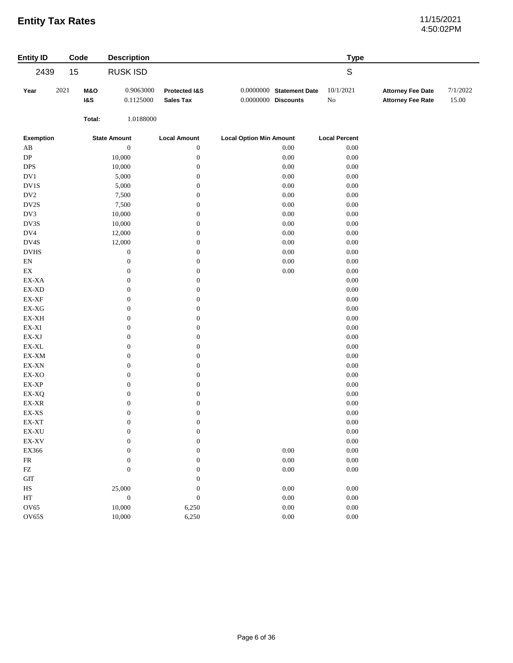# 4:50:02PM

| <b>Entity ID</b>                                           | Code |                                  | <b>Description</b>     |                                   |                                |                            | <b>Type</b>           |                                                      |                   |
|------------------------------------------------------------|------|----------------------------------|------------------------|-----------------------------------|--------------------------------|----------------------------|-----------------------|------------------------------------------------------|-------------------|
| 2439                                                       | 15   |                                  | <b>RUSK ISD</b>        |                                   |                                |                            | ${\mathsf S}$         |                                                      |                   |
| Year                                                       | 2021 | <b>M&amp;O</b><br><b>1&amp;S</b> | 0.9063000<br>0.1125000 | Protected I&S<br><b>Sales Tax</b> | $0.0000000$ Discounts          | $0.0000000$ Statement Date | 10/1/2021<br>$\rm No$ | <b>Attorney Fee Date</b><br><b>Attorney Fee Rate</b> | 7/1/2022<br>15.00 |
|                                                            |      | Total:                           | 1.0188000              |                                   |                                |                            |                       |                                                      |                   |
| <b>Exemption</b>                                           |      |                                  | <b>State Amount</b>    | <b>Local Amount</b>               | <b>Local Option Min Amount</b> |                            | <b>Local Percent</b>  |                                                      |                   |
| $\mathbf{A}\mathbf{B}$                                     |      |                                  | $\boldsymbol{0}$       | $\boldsymbol{0}$                  |                                | 0.00                       | $0.00\,$              |                                                      |                   |
| ${\rm DP}$                                                 |      |                                  | 10,000                 | $\boldsymbol{0}$                  |                                | 0.00                       | $0.00\,$              |                                                      |                   |
| <b>DPS</b>                                                 |      |                                  | 10,000                 | $\boldsymbol{0}$                  |                                | $0.00\,$                   | $0.00\,$              |                                                      |                   |
| $\rm DV1$                                                  |      |                                  | 5,000                  | $\boldsymbol{0}$                  |                                | $0.00\,$                   | $0.00\,$              |                                                      |                   |
| $\rm DV1S$                                                 |      |                                  | 5,000                  | $\boldsymbol{0}$                  |                                | $0.00\,$                   | $0.00\,$              |                                                      |                   |
| DV <sub>2</sub>                                            |      |                                  | 7,500                  | $\boldsymbol{0}$                  |                                | $0.00\,$                   | 0.00                  |                                                      |                   |
| DV2S                                                       |      |                                  | 7,500                  | $\boldsymbol{0}$                  |                                | $0.00\,$                   | $0.00\,$              |                                                      |                   |
| DV3                                                        |      |                                  | 10,000                 | $\boldsymbol{0}$                  |                                | $0.00\,$                   | $0.00\,$              |                                                      |                   |
| DV3S                                                       |      |                                  | 10,000                 | $\boldsymbol{0}$                  |                                | $0.00\,$                   | 0.00                  |                                                      |                   |
| DV4                                                        |      |                                  | 12,000                 | $\boldsymbol{0}$                  |                                | $0.00\,$                   | $0.00\,$              |                                                      |                   |
| $\mathbf{D V4S}$                                           |      |                                  | 12,000                 | $\boldsymbol{0}$                  |                                | $0.00\,$                   | $0.00\,$              |                                                      |                   |
| $_{\mathrm{DVHS}}$                                         |      |                                  | $\boldsymbol{0}$       | $\boldsymbol{0}$                  |                                | $0.00\,$                   | $0.00\,$              |                                                      |                   |
| $\mathop{\rm EN}\nolimits$                                 |      |                                  | $\boldsymbol{0}$       | $\boldsymbol{0}$                  |                                | $0.00\,$                   | $0.00\,$              |                                                      |                   |
| $\mathop{\rm EX}\nolimits$                                 |      |                                  | $\boldsymbol{0}$       | $\boldsymbol{0}$                  |                                | $0.00\,$                   | $0.00\,$              |                                                      |                   |
| EX-XA                                                      |      |                                  | $\boldsymbol{0}$       | $\boldsymbol{0}$                  |                                |                            | $0.00\,$              |                                                      |                   |
| $EX-XD$                                                    |      |                                  | $\boldsymbol{0}$       | $\boldsymbol{0}$                  |                                |                            | $0.00\,$              |                                                      |                   |
| $\mathbf{EX}\text{-}\mathbf{XF}$                           |      |                                  | $\boldsymbol{0}$       | $\boldsymbol{0}$                  |                                |                            | $0.00\,$              |                                                      |                   |
| $\mathbf{EX}\text{-}\mathbf{X}\mathbf{G}$                  |      |                                  | $\boldsymbol{0}$       | $\boldsymbol{0}$                  |                                |                            | $0.00\,$              |                                                      |                   |
| EX-XH                                                      |      |                                  | $\boldsymbol{0}$       | $\boldsymbol{0}$                  |                                |                            | $0.00\,$              |                                                      |                   |
| $\mathbf{EX}\text{-}\mathbf{XI}$                           |      |                                  | $\boldsymbol{0}$       | $\boldsymbol{0}$                  |                                |                            | $0.00\,$              |                                                      |                   |
| $\mathbf{EX}\text{-}\mathbf{X}\mathbf{J}$                  |      |                                  | $\boldsymbol{0}$       | $\boldsymbol{0}$                  |                                |                            | $0.00\,$              |                                                      |                   |
| $\mathsf{EX}\text{-}\mathsf{XL}$                           |      |                                  | $\boldsymbol{0}$       | $\boldsymbol{0}$                  |                                |                            | $0.00\,$              |                                                      |                   |
| EX-XM                                                      |      |                                  | $\boldsymbol{0}$       | $\boldsymbol{0}$                  |                                |                            | $0.00\,$              |                                                      |                   |
| EX-XN                                                      |      |                                  | $\boldsymbol{0}$       | $\boldsymbol{0}$                  |                                |                            | 0.00                  |                                                      |                   |
| EX-XO                                                      |      |                                  | $\boldsymbol{0}$       | $\boldsymbol{0}$                  |                                |                            | $0.00\,$              |                                                      |                   |
| $\mathbf{EX}\text{-}\mathbf{XP}$                           |      |                                  | $\boldsymbol{0}$       | $\boldsymbol{0}$                  |                                |                            | 0.00                  |                                                      |                   |
| EX-XQ                                                      |      |                                  | $\boldsymbol{0}$       | $\boldsymbol{0}$                  |                                |                            | $0.00\,$              |                                                      |                   |
| $\mathop{\rm EX}\nolimits\text{-}\mathop{\rm XR}\nolimits$ |      |                                  | $\boldsymbol{0}$       | $\boldsymbol{0}$                  |                                |                            | $0.00\,$              |                                                      |                   |
| $\mathbf{EX}\text{-}\mathbf{XS}$                           |      |                                  | $\boldsymbol{0}$       | $\boldsymbol{0}$                  |                                |                            | $0.00\,$              |                                                      |                   |
| EX-XT                                                      |      |                                  | $\boldsymbol{0}$       | $\boldsymbol{0}$                  |                                |                            | 0.00                  |                                                      |                   |
| $\mathbf{EX}\text{-}\mathbf{X}\mathbf{U}$                  |      |                                  | $\boldsymbol{0}$       | $\boldsymbol{0}$                  |                                |                            | $0.00\,$              |                                                      |                   |
| $\mathbf{EX}\text{-}\mathbf{X}\mathbf{V}$                  |      |                                  | $\boldsymbol{0}$       | $\boldsymbol{0}$                  |                                |                            | $0.00\,$              |                                                      |                   |
| EX366                                                      |      |                                  | $\boldsymbol{0}$       | $\boldsymbol{0}$                  |                                | $0.00\,$                   | $0.00\,$              |                                                      |                   |
| ${\sf FR}$                                                 |      |                                  | $\boldsymbol{0}$       | $\boldsymbol{0}$                  |                                | $0.00\,$                   | $0.00\,$              |                                                      |                   |
| ${\rm FZ}$                                                 |      |                                  | $\boldsymbol{0}$       | $\boldsymbol{0}$                  |                                | $0.00\,$                   | $0.00\,$              |                                                      |                   |
| <b>GIT</b>                                                 |      |                                  |                        | $\boldsymbol{0}$                  |                                |                            |                       |                                                      |                   |
| $_{\rm HS}$                                                |      |                                  | 25,000                 | $\boldsymbol{0}$                  |                                | $0.00\,$                   | $0.00\,$              |                                                      |                   |
| $\operatorname{HT}$                                        |      |                                  | $\boldsymbol{0}$       | $\boldsymbol{0}$                  |                                | $0.00\,$                   | $0.00\,$              |                                                      |                   |
| OV65                                                       |      |                                  | 10,000                 | 6,250                             |                                | $0.00\,$                   | $0.00\,$              |                                                      |                   |
| <b>OV65S</b>                                               |      |                                  | 10,000                 | 6,250                             |                                | $0.00\,$                   | $0.00\,$              |                                                      |                   |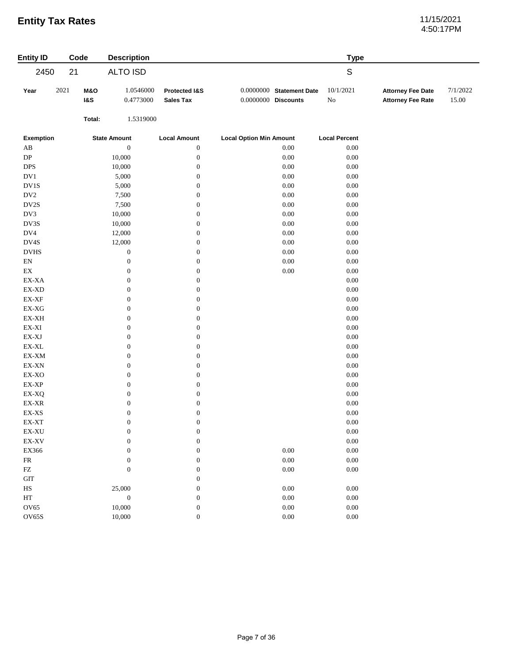# 4:50:17PM

| <b>Entity ID</b>                                           | Code |                       | <b>Description</b>     |                                   |                                                   | <b>Type</b>           |                                                      |                   |
|------------------------------------------------------------|------|-----------------------|------------------------|-----------------------------------|---------------------------------------------------|-----------------------|------------------------------------------------------|-------------------|
| 2450                                                       | 21   |                       | <b>ALTO ISD</b>        |                                   |                                                   | ${\mathsf S}$         |                                                      |                   |
| Year                                                       | 2021 | M&O<br><b>1&amp;S</b> | 1.0546000<br>0.4773000 | Protected I&S<br><b>Sales Tax</b> | 0.0000000 Statement Date<br>$0.0000000$ Discounts | 10/1/2021<br>$\rm No$ | <b>Attorney Fee Date</b><br><b>Attorney Fee Rate</b> | 7/1/2022<br>15.00 |
|                                                            |      | Total:                | 1.5319000              |                                   |                                                   |                       |                                                      |                   |
| Exemption                                                  |      |                       | <b>State Amount</b>    | <b>Local Amount</b>               | <b>Local Option Min Amount</b>                    | <b>Local Percent</b>  |                                                      |                   |
| $\mathbf{A}\mathbf{B}$                                     |      |                       | $\boldsymbol{0}$       | $\boldsymbol{0}$                  | 0.00                                              | $0.00\,$              |                                                      |                   |
| DP                                                         |      |                       | 10,000                 | $\boldsymbol{0}$                  | 0.00                                              | $0.00\,$              |                                                      |                   |
| $\ensuremath{\mathsf{DPS}}$                                |      |                       | 10,000                 | $\boldsymbol{0}$                  | $0.00\,$                                          | $0.00\,$              |                                                      |                   |
| $\rm DV1$                                                  |      |                       | 5,000                  | $\boldsymbol{0}$                  | $0.00\,$                                          | $0.00\,$              |                                                      |                   |
| $\rm DV1S$                                                 |      |                       | 5,000                  | $\boldsymbol{0}$                  | $0.00\,$                                          | $0.00\,$              |                                                      |                   |
| $\rm DV2$                                                  |      |                       | 7,500                  | $\boldsymbol{0}$                  | $0.00\,$                                          | $0.00\,$              |                                                      |                   |
| $\mathbf{D} \mathbf{V} \mathbf{2S}$                        |      |                       | 7,500                  | $\boldsymbol{0}$                  | $0.00\,$                                          | $0.00\,$              |                                                      |                   |
| DV3                                                        |      |                       | 10,000                 | $\boldsymbol{0}$                  | $0.00\,$                                          | $0.00\,$              |                                                      |                   |
| $\mathbf{D}\mathbf{V}3\mathbf{S}$                          |      |                       | 10,000                 | $\boldsymbol{0}$                  | $0.00\,$                                          | $0.00\,$              |                                                      |                   |
| $\rm DV4$                                                  |      |                       | 12,000                 | $\boldsymbol{0}$                  | $0.00\,$                                          | $0.00\,$              |                                                      |                   |
| $\mathbf{D V4S}$                                           |      |                       | 12,000                 | $\boldsymbol{0}$                  | 0.00                                              | $0.00\,$              |                                                      |                   |
| $_{\rm DVHS}$                                              |      |                       | $\boldsymbol{0}$       | $\boldsymbol{0}$                  | $0.00\,$                                          | $0.00\,$              |                                                      |                   |
| $\mathop{\rm EN}\nolimits$                                 |      |                       | $\boldsymbol{0}$       | $\boldsymbol{0}$                  | $0.00\,$                                          | $0.00\,$              |                                                      |                   |
| $\mathop{\rm EX}\nolimits$                                 |      |                       | $\boldsymbol{0}$       | $\boldsymbol{0}$                  | $0.00\,$                                          | $0.00\,$              |                                                      |                   |
| EX-XA                                                      |      |                       | $\boldsymbol{0}$       | $\boldsymbol{0}$                  |                                                   | 0.00                  |                                                      |                   |
| EX-XD                                                      |      |                       | $\boldsymbol{0}$       | $\boldsymbol{0}$                  |                                                   | $0.00\,$              |                                                      |                   |
| $\mathbf{EX}\text{-}\mathbf{XF}$                           |      |                       | $\boldsymbol{0}$       | $\boldsymbol{0}$                  |                                                   | $0.00\,$              |                                                      |                   |
| $\mathbf{EX}\text{-}\mathbf{X}\mathbf{G}$                  |      |                       | $\boldsymbol{0}$       | $\boldsymbol{0}$                  |                                                   | $0.00\,$              |                                                      |                   |
| $\mathbf{EX}\text{-}\mathbf{X}\mathbf{H}$                  |      |                       | $\boldsymbol{0}$       | $\boldsymbol{0}$                  |                                                   | $0.00\,$              |                                                      |                   |
| $\mathbf{EX}\text{-}\mathbf{XI}$                           |      |                       | $\boldsymbol{0}$       | $\boldsymbol{0}$                  |                                                   | $0.00\,$              |                                                      |                   |
| $\mathbf{EX}\text{-}\mathbf{XJ}$                           |      |                       | $\boldsymbol{0}$       | $\boldsymbol{0}$                  |                                                   | $0.00\,$              |                                                      |                   |
| $\mathsf{EX}\text{-}\mathsf{XL}$                           |      |                       | $\boldsymbol{0}$       | $\boldsymbol{0}$                  |                                                   | $0.00\,$              |                                                      |                   |
| EX-XM                                                      |      |                       | $\boldsymbol{0}$       | $\boldsymbol{0}$                  |                                                   | $0.00\,$              |                                                      |                   |
| EX-XN                                                      |      |                       | $\boldsymbol{0}$       | $\boldsymbol{0}$                  |                                                   | $0.00\,$              |                                                      |                   |
| $\ensuremath{\text{EX-XO}}$                                |      |                       | $\boldsymbol{0}$       | $\boldsymbol{0}$                  |                                                   | $0.00\,$              |                                                      |                   |
| $\mathbf{EX}\text{-}\mathbf{XP}$                           |      |                       | $\boldsymbol{0}$       | $\boldsymbol{0}$                  |                                                   | $0.00\,$              |                                                      |                   |
| EX-XQ                                                      |      |                       | $\boldsymbol{0}$       | $\boldsymbol{0}$                  |                                                   | $0.00\,$              |                                                      |                   |
| $\mathop{\rm EX}\nolimits\text{-}\mathop{\rm XR}\nolimits$ |      |                       | $\boldsymbol{0}$       | $\boldsymbol{0}$                  |                                                   | $0.00\,$              |                                                      |                   |
| $\mathbf{EX}\text{-}\mathbf{XS}$                           |      |                       | $\boldsymbol{0}$       | $\boldsymbol{0}$                  |                                                   | 0.00                  |                                                      |                   |
| EX-XT                                                      |      |                       | $\boldsymbol{0}$       | $\boldsymbol{0}$                  |                                                   | 0.00                  |                                                      |                   |
| $\mathbf{EX}\text{-}\mathbf{X}\mathbf{U}$                  |      |                       | $\boldsymbol{0}$       | $\boldsymbol{0}$                  |                                                   | $0.00\,$              |                                                      |                   |
| $\mathbf{EX}\text{-}\mathbf{X}\mathbf{V}$                  |      |                       | $\boldsymbol{0}$       | $\boldsymbol{0}$                  |                                                   | $0.00\,$              |                                                      |                   |
| EX366                                                      |      |                       | $\boldsymbol{0}$       | $\boldsymbol{0}$                  | $0.00\,$                                          | $0.00\,$              |                                                      |                   |
| ${\sf FR}$                                                 |      |                       | $\boldsymbol{0}$       | $\boldsymbol{0}$                  | $0.00\,$                                          | $0.00\,$              |                                                      |                   |
| ${\rm FZ}$                                                 |      |                       | $\boldsymbol{0}$       | $\boldsymbol{0}$                  | $0.00\,$                                          | $0.00\,$              |                                                      |                   |
| $\operatorname{GIT}$                                       |      |                       |                        | $\boldsymbol{0}$                  |                                                   |                       |                                                      |                   |
| $_{\rm HS}$                                                |      |                       | 25,000                 | $\boldsymbol{0}$                  | $0.00\,$                                          | $0.00\,$              |                                                      |                   |
| $\operatorname{HT}$                                        |      |                       | $\boldsymbol{0}$       | $\boldsymbol{0}$                  | $0.00\,$                                          | $0.00\,$              |                                                      |                   |
| OV <sub>65</sub>                                           |      |                       | 10,000                 | $\boldsymbol{0}$                  | $0.00\,$                                          | $0.00\,$              |                                                      |                   |
| OV65S                                                      |      |                       | 10,000                 | $\boldsymbol{0}$                  | $0.00\,$                                          | $0.00\,$              |                                                      |                   |
|                                                            |      |                       |                        |                                   |                                                   |                       |                                                      |                   |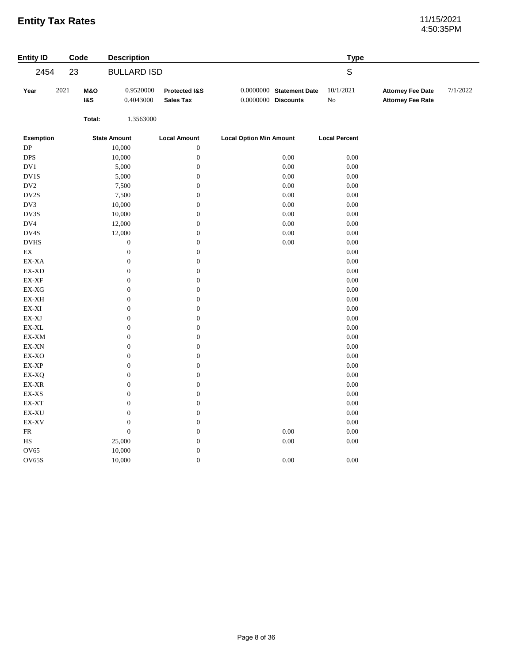# 4:50:35PM

| <b>Entity ID</b>                 | Code                             | <b>Description</b>                   |                                      |                                |                            | <b>Type</b>           |                                                      |          |
|----------------------------------|----------------------------------|--------------------------------------|--------------------------------------|--------------------------------|----------------------------|-----------------------|------------------------------------------------------|----------|
| 2454                             | 23                               | <b>BULLARD ISD</b>                   |                                      |                                |                            | $\mathsf S$           |                                                      |          |
| 2021<br>Year                     | <b>M&amp;O</b><br><b>1&amp;S</b> | 0.9520000<br>0.4043000               | Protected I&S<br><b>Sales Tax</b>    | $0.0000000$ Discounts          | $0.0000000$ Statement Date | 10/1/2021<br>$\rm No$ | <b>Attorney Fee Date</b><br><b>Attorney Fee Rate</b> | 7/1/2022 |
|                                  | Total:                           | 1.3563000                            |                                      |                                |                            |                       |                                                      |          |
| <b>Exemption</b>                 |                                  | <b>State Amount</b>                  | <b>Local Amount</b>                  | <b>Local Option Min Amount</b> |                            | <b>Local Percent</b>  |                                                      |          |
| DP                               |                                  | 10,000                               | $\boldsymbol{0}$                     |                                |                            |                       |                                                      |          |
| <b>DPS</b>                       |                                  | 10,000                               | $\boldsymbol{0}$                     |                                | 0.00                       | 0.00                  |                                                      |          |
| DV1                              |                                  | 5,000                                | $\boldsymbol{0}$                     |                                | $0.00\,$                   | $0.00\,$              |                                                      |          |
| DV1S                             |                                  | 5,000                                | $\boldsymbol{0}$                     |                                | 0.00                       | 0.00                  |                                                      |          |
| DV <sub>2</sub>                  |                                  | 7,500                                | $\boldsymbol{0}$                     |                                | 0.00                       | 0.00                  |                                                      |          |
| DV2S                             |                                  | 7,500                                | $\boldsymbol{0}$                     |                                | 0.00                       | 0.00                  |                                                      |          |
| DV3                              |                                  | 10,000                               | $\boldsymbol{0}$                     |                                | 0.00                       | 0.00                  |                                                      |          |
| DV3S                             |                                  | 10,000                               | $\boldsymbol{0}$                     |                                | $0.00\,$                   | $0.00\,$              |                                                      |          |
| $\rm DV4$                        |                                  | 12,000                               | $\boldsymbol{0}$                     |                                | $0.00\,$                   | 0.00                  |                                                      |          |
| $\mathbf{D V4S}$                 |                                  | 12,000                               | $\boldsymbol{0}$                     |                                | 0.00                       | $0.00\,$              |                                                      |          |
| $_{\mathrm{DVHS}}$               |                                  | $\boldsymbol{0}$                     | $\boldsymbol{0}$                     |                                | $0.00\,$                   | $0.00\,$              |                                                      |          |
| $\mathop{\rm EX}\nolimits$       |                                  | $\boldsymbol{0}$                     | $\boldsymbol{0}$                     |                                |                            | 0.00                  |                                                      |          |
| EX-XA                            |                                  | $\boldsymbol{0}$                     | $\boldsymbol{0}$                     |                                |                            | 0.00                  |                                                      |          |
| EX-XD                            |                                  | $\boldsymbol{0}$                     | $\boldsymbol{0}$                     |                                |                            | $0.00\,$              |                                                      |          |
| $\mathsf{EX}\text{-}\mathsf{XF}$ |                                  | $\boldsymbol{0}$                     | $\boldsymbol{0}$                     |                                |                            | $0.00\,$              |                                                      |          |
| EX-XG                            |                                  | $\boldsymbol{0}$                     | $\boldsymbol{0}$                     |                                |                            | $0.00\,$              |                                                      |          |
| EX-XH                            |                                  | $\boldsymbol{0}$                     | $\boldsymbol{0}$                     |                                |                            | 0.00                  |                                                      |          |
| $\mathbf{EX}\text{-}\mathbf{XI}$ |                                  | $\boldsymbol{0}$                     | $\boldsymbol{0}$                     |                                |                            | 0.00                  |                                                      |          |
| $\mathbf{EX}\text{-}\mathbf{XJ}$ |                                  | $\boldsymbol{0}$                     | $\boldsymbol{0}$                     |                                |                            | 0.00                  |                                                      |          |
| $\mathsf{EX}\text{-}\mathsf{XL}$ |                                  | $\boldsymbol{0}$                     | $\boldsymbol{0}$                     |                                |                            | $0.00\,$              |                                                      |          |
| EX-XM                            |                                  | $\boldsymbol{0}$                     | $\boldsymbol{0}$                     |                                |                            | 0.00                  |                                                      |          |
| EX-XN                            |                                  | $\boldsymbol{0}$                     | $\boldsymbol{0}$                     |                                |                            | 0.00                  |                                                      |          |
| $\ensuremath{\text{EX-XO}}$      |                                  | $\boldsymbol{0}$                     | $\boldsymbol{0}$                     |                                |                            | $0.00\,$              |                                                      |          |
| EX-XP                            |                                  | $\boldsymbol{0}$                     | $\boldsymbol{0}$                     |                                |                            | $0.00\,$              |                                                      |          |
| EX-XQ                            |                                  | $\boldsymbol{0}$                     | $\boldsymbol{0}$                     |                                |                            | $0.00\,$              |                                                      |          |
| EX-XR                            |                                  | $\boldsymbol{0}$                     | $\boldsymbol{0}$                     |                                |                            | 0.00                  |                                                      |          |
| EX-XS                            |                                  | $\boldsymbol{0}$                     | $\boldsymbol{0}$                     |                                |                            | $0.00\,$              |                                                      |          |
| EX-XT<br>EX-XU                   |                                  | $\boldsymbol{0}$<br>$\boldsymbol{0}$ | $\boldsymbol{0}$<br>$\boldsymbol{0}$ |                                |                            | $0.00\,$<br>0.00      |                                                      |          |
| EX-XV                            |                                  | $\boldsymbol{0}$                     | $\boldsymbol{0}$                     |                                |                            | 0.00                  |                                                      |          |
| ${\sf FR}$                       |                                  | $\boldsymbol{0}$                     | $\boldsymbol{0}$                     |                                | $0.00\,$                   | $0.00\,$              |                                                      |          |
| HS                               |                                  | 25,000                               | $\boldsymbol{0}$                     |                                | 0.00                       | $0.00\,$              |                                                      |          |
| <b>OV65</b>                      |                                  | 10,000                               | $\boldsymbol{0}$                     |                                |                            |                       |                                                      |          |
| OV65S                            |                                  | 10,000                               | $\boldsymbol{0}$                     |                                | 0.00                       | 0.00                  |                                                      |          |
|                                  |                                  |                                      |                                      |                                |                            |                       |                                                      |          |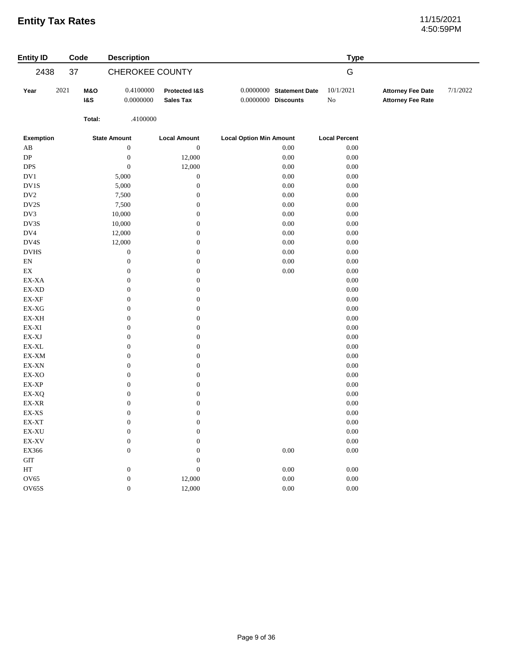# 4:50:59PM

| <b>Entity ID</b>                          | Code |                                  | <b>Description</b>     |                                   |                                |                            | <b>Type</b>          |                                                      |          |
|-------------------------------------------|------|----------------------------------|------------------------|-----------------------------------|--------------------------------|----------------------------|----------------------|------------------------------------------------------|----------|
| 2438                                      | 37   |                                  | <b>CHEROKEE COUNTY</b> |                                   |                                |                            | G                    |                                                      |          |
| Year                                      | 2021 | <b>M&amp;O</b><br><b>1&amp;S</b> | 0.4100000<br>0.0000000 | Protected I&S<br><b>Sales Tax</b> | 0.0000000 Discounts            | $0.0000000$ Statement Date | 10/1/2021<br>No      | <b>Attorney Fee Date</b><br><b>Attorney Fee Rate</b> | 7/1/2022 |
|                                           |      | Total:                           | .4100000               |                                   |                                |                            |                      |                                                      |          |
| <b>Exemption</b>                          |      |                                  | <b>State Amount</b>    | <b>Local Amount</b>               | <b>Local Option Min Amount</b> |                            | <b>Local Percent</b> |                                                      |          |
| $\mathbf{A}\mathbf{B}$                    |      |                                  | $\boldsymbol{0}$       | $\boldsymbol{0}$                  |                                | 0.00                       | $0.00\,$             |                                                      |          |
| ${\rm DP}$                                |      |                                  | $\boldsymbol{0}$       | 12,000                            |                                | $0.00\,$                   | $0.00\,$             |                                                      |          |
| <b>DPS</b>                                |      |                                  | $\boldsymbol{0}$       | 12,000                            |                                | $0.00\,$                   | $0.00\,$             |                                                      |          |
| DV1                                       |      |                                  | 5,000                  | $\boldsymbol{0}$                  |                                | $0.00\,$                   | $0.00\,$             |                                                      |          |
| DV1S                                      |      |                                  | 5,000                  | $\boldsymbol{0}$                  |                                | $0.00\,$                   | 0.00                 |                                                      |          |
| $\rm DV2$                                 |      |                                  | 7,500                  | $\boldsymbol{0}$                  |                                | $0.00\,$                   | $0.00\,$             |                                                      |          |
| DV2S                                      |      |                                  | 7,500                  | $\boldsymbol{0}$                  |                                | $0.00\,$                   | $0.00\,$             |                                                      |          |
| DV3                                       |      |                                  | 10,000                 | $\boldsymbol{0}$                  |                                | $0.00\,$                   | $0.00\,$             |                                                      |          |
| DV3S                                      |      |                                  | 10,000                 | $\boldsymbol{0}$                  |                                | $0.00\,$                   | $0.00\,$             |                                                      |          |
| DV4                                       |      |                                  | 12,000                 | $\boldsymbol{0}$                  |                                | 0.00                       | 0.00                 |                                                      |          |
| DV4S                                      |      |                                  | 12,000                 | $\boldsymbol{0}$                  |                                | $0.00\,$                   | $0.00\,$             |                                                      |          |
| <b>DVHS</b>                               |      |                                  | $\boldsymbol{0}$       | $\boldsymbol{0}$                  |                                | $0.00\,$                   | 0.00                 |                                                      |          |
| $\mathop{\rm EN}\nolimits$                |      |                                  | $\boldsymbol{0}$       | $\boldsymbol{0}$                  |                                | $0.00\,$                   | $0.00\,$             |                                                      |          |
| $\mathop{\rm EX}\nolimits$                |      |                                  | $\boldsymbol{0}$       | $\boldsymbol{0}$                  |                                | 0.00                       | 0.00                 |                                                      |          |
| EX-XA                                     |      |                                  | $\boldsymbol{0}$       | $\boldsymbol{0}$                  |                                |                            | $0.00\,$             |                                                      |          |
| $EX-XD$                                   |      |                                  | $\boldsymbol{0}$       | $\boldsymbol{0}$                  |                                |                            | 0.00                 |                                                      |          |
| $\mathbf{EX}\text{-}\mathbf{XF}$          |      |                                  | $\boldsymbol{0}$       | $\boldsymbol{0}$                  |                                |                            | $0.00\,$             |                                                      |          |
| $EX-XG$                                   |      |                                  | $\boldsymbol{0}$       | $\boldsymbol{0}$                  |                                |                            | 0.00                 |                                                      |          |
| $\mathbf{EX}\text{-}\mathbf{X}\mathbf{H}$ |      |                                  | $\boldsymbol{0}$       | $\boldsymbol{0}$                  |                                |                            | $0.00\,$             |                                                      |          |
| EX-XI                                     |      |                                  | $\boldsymbol{0}$       | $\boldsymbol{0}$                  |                                |                            | $0.00\,$             |                                                      |          |
| $\mathbf{EX}\text{-}\mathbf{XJ}$          |      |                                  | $\boldsymbol{0}$       | $\boldsymbol{0}$                  |                                |                            | $0.00\,$             |                                                      |          |
| $\mathsf{EX}\text{-}\mathsf{XL}$          |      |                                  | $\boldsymbol{0}$       | $\boldsymbol{0}$                  |                                |                            | 0.00                 |                                                      |          |
| EX-XM                                     |      |                                  | $\boldsymbol{0}$       | $\boldsymbol{0}$                  |                                |                            | $0.00\,$             |                                                      |          |
| EX-XN                                     |      |                                  | $\boldsymbol{0}$       | $\boldsymbol{0}$                  |                                |                            | $0.00\,$             |                                                      |          |
| EX-XO                                     |      |                                  | $\boldsymbol{0}$       | $\boldsymbol{0}$                  |                                |                            | $0.00\,$             |                                                      |          |
| $\mathbf{EX}\text{-}\mathbf{XP}$          |      |                                  | $\boldsymbol{0}$       | $\boldsymbol{0}$                  |                                |                            | $0.00\,$             |                                                      |          |
| EX-XQ                                     |      |                                  | $\boldsymbol{0}$       | $\boldsymbol{0}$                  |                                |                            | 0.00                 |                                                      |          |
| $\mathbf{EX}\text{-}\mathbf{XR}$          |      |                                  | $\boldsymbol{0}$       | $\boldsymbol{0}$                  |                                |                            | $0.00\,$             |                                                      |          |
| $\mathbf{EX}\text{-}\mathbf{XS}$          |      |                                  | $\boldsymbol{0}$       | $\boldsymbol{0}$                  |                                |                            | $0.00\,$             |                                                      |          |
| EX-XT                                     |      |                                  | $\boldsymbol{0}$       | $\boldsymbol{0}$                  |                                |                            | $0.00\,$             |                                                      |          |
| EX-XU                                     |      |                                  | $\boldsymbol{0}$       | $\boldsymbol{0}$                  |                                |                            | 0.00                 |                                                      |          |
| $\mathbf{EX}\text{-}\mathbf{X}\mathbf{V}$ |      |                                  | $\boldsymbol{0}$       | $\mathbf{0}$                      |                                |                            | $0.00\,$             |                                                      |          |
| EX366                                     |      |                                  | $\boldsymbol{0}$       | $\boldsymbol{0}$                  |                                | $0.00\,$                   | $0.00\,$             |                                                      |          |
| $\operatorname{GIT}$                      |      |                                  |                        | $\boldsymbol{0}$                  |                                |                            |                      |                                                      |          |
| $\operatorname{HT}$                       |      |                                  | $\boldsymbol{0}$       | $\boldsymbol{0}$                  |                                | 0.00                       | 0.00                 |                                                      |          |
| OV65                                      |      |                                  | $\boldsymbol{0}$       | 12,000                            |                                | $0.00\,$                   | $0.00\,$             |                                                      |          |
| OV65S                                     |      |                                  | $\boldsymbol{0}$       | 12,000                            |                                | $0.00\,$                   | $0.00\,$             |                                                      |          |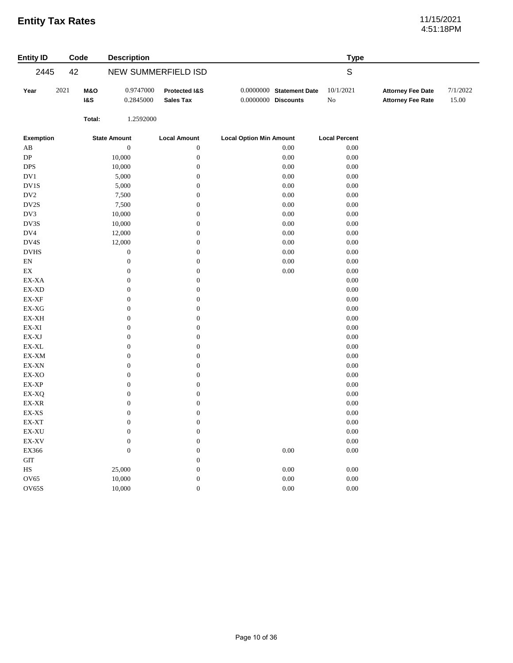# 4:51:18PM

| <b>Entity ID</b>                          | Code                                     | <b>Description</b>                   |                                   |                                                   | <b>Type</b>           |                                                      |                   |
|-------------------------------------------|------------------------------------------|--------------------------------------|-----------------------------------|---------------------------------------------------|-----------------------|------------------------------------------------------|-------------------|
| 2445                                      | 42                                       |                                      | NEW SUMMERFIELD ISD               |                                                   | $\mathsf S$           |                                                      |                   |
| Year                                      | 2021<br><b>M&amp;O</b><br><b>1&amp;S</b> | 0.9747000<br>0.2845000               | Protected I&S<br><b>Sales Tax</b> | 0.0000000 Statement Date<br>$0.0000000$ Discounts | 10/1/2021<br>$\rm No$ | <b>Attorney Fee Date</b><br><b>Attorney Fee Rate</b> | 7/1/2022<br>15.00 |
|                                           | Total:                                   | 1.2592000                            |                                   |                                                   |                       |                                                      |                   |
| Exemption                                 |                                          | <b>State Amount</b>                  | <b>Local Amount</b>               | <b>Local Option Min Amount</b>                    | <b>Local Percent</b>  |                                                      |                   |
| AB                                        |                                          | $\boldsymbol{0}$                     | $\boldsymbol{0}$                  | 0.00                                              | $0.00\,$              |                                                      |                   |
| DP                                        |                                          | 10,000                               | $\boldsymbol{0}$                  | 0.00                                              | $0.00\,$              |                                                      |                   |
| $\ensuremath{\mathsf{DPS}}$               |                                          | 10,000                               | $\boldsymbol{0}$                  | 0.00                                              | $0.00\,$              |                                                      |                   |
| $\rm DV1$                                 |                                          | 5,000                                | $\boldsymbol{0}$                  | 0.00                                              | $0.00\,$              |                                                      |                   |
| $\rm DV1S$                                |                                          | 5,000                                | $\boldsymbol{0}$                  | 0.00                                              | $0.00\,$              |                                                      |                   |
| DV <sub>2</sub>                           |                                          | 7,500                                | $\boldsymbol{0}$                  | 0.00                                              | $0.00\,$              |                                                      |                   |
| $\mathbf{D} \mathbf{V} \mathbf{2S}$       |                                          | 7,500                                | $\boldsymbol{0}$                  | 0.00                                              | $0.00\,$              |                                                      |                   |
| DV3                                       |                                          | 10,000                               | $\boldsymbol{0}$                  | 0.00                                              | $0.00\,$              |                                                      |                   |
| DV3S                                      |                                          | 10,000                               | $\boldsymbol{0}$                  | 0.00                                              | $0.00\,$              |                                                      |                   |
| DV4                                       |                                          | 12,000                               | $\boldsymbol{0}$                  | 0.00                                              | $0.00\,$              |                                                      |                   |
| DV4S                                      |                                          | 12,000                               | $\boldsymbol{0}$                  | 0.00                                              | 0.00                  |                                                      |                   |
| $_{\mathrm{DVHS}}$                        |                                          | $\boldsymbol{0}$                     | $\boldsymbol{0}$                  | 0.00                                              | $0.00\,$              |                                                      |                   |
| $\mathop{\rm EN}\nolimits$                |                                          | $\boldsymbol{0}$                     | $\boldsymbol{0}$                  | 0.00                                              | $0.00\,$              |                                                      |                   |
| $\mathop{\rm EX}\nolimits$                |                                          | $\boldsymbol{0}$                     | $\boldsymbol{0}$                  | 0.00                                              | $0.00\,$              |                                                      |                   |
| EX-XA                                     |                                          | $\boldsymbol{0}$                     | $\boldsymbol{0}$                  |                                                   | 0.00                  |                                                      |                   |
| EX-XD                                     |                                          | $\boldsymbol{0}$                     | $\boldsymbol{0}$                  |                                                   | $0.00\,$              |                                                      |                   |
| $\mathbf{EX}\text{-}\mathbf{XF}$          |                                          | $\boldsymbol{0}$                     | $\boldsymbol{0}$                  |                                                   | $0.00\,$              |                                                      |                   |
| $\mathsf{EX}\text{-}\mathsf{X}\mathsf{G}$ |                                          | $\boldsymbol{0}$                     | $\boldsymbol{0}$                  |                                                   | $0.00\,$              |                                                      |                   |
| EX-XH                                     |                                          | $\boldsymbol{0}$                     | $\boldsymbol{0}$                  |                                                   | $0.00\,$              |                                                      |                   |
| EX-XI                                     |                                          | $\boldsymbol{0}$                     | $\boldsymbol{0}$                  |                                                   | $0.00\,$              |                                                      |                   |
| $\mathbf{EX}\text{-}\mathbf{XJ}$          |                                          |                                      | $\boldsymbol{0}$                  |                                                   | $0.00\,$              |                                                      |                   |
| $\mathsf{EX}\text{-}\mathsf{XL}$          |                                          | $\boldsymbol{0}$<br>$\boldsymbol{0}$ | $\boldsymbol{0}$                  |                                                   | $0.00\,$              |                                                      |                   |
|                                           |                                          |                                      |                                   |                                                   |                       |                                                      |                   |
| EX-XM                                     |                                          | $\boldsymbol{0}$                     | $\boldsymbol{0}$                  |                                                   | $0.00\,$              |                                                      |                   |
| EX-XN                                     |                                          | $\boldsymbol{0}$                     | $\boldsymbol{0}$                  |                                                   | $0.00\,$              |                                                      |                   |
| $\ensuremath{\text{EX-XO}}$               |                                          | $\boldsymbol{0}$                     | $\boldsymbol{0}$                  |                                                   | $0.00\,$              |                                                      |                   |
| $\mathbf{EX}\text{-}\mathbf{XP}$          |                                          | $\boldsymbol{0}$                     | $\boldsymbol{0}$                  |                                                   | $0.00\,$              |                                                      |                   |
| EX-XQ                                     |                                          | $\boldsymbol{0}$                     | $\boldsymbol{0}$                  |                                                   | $0.00\,$              |                                                      |                   |
| $\mathbf{EX}\text{-}\mathbf{XR}$          |                                          | $\boldsymbol{0}$                     | $\boldsymbol{0}$                  |                                                   | $0.00\,$              |                                                      |                   |
| $\mathbf{EX}\text{-}\mathbf{XS}$          |                                          | $\boldsymbol{0}$                     | $\boldsymbol{0}$                  |                                                   | $0.00\,$              |                                                      |                   |
| EX-XT                                     |                                          | $\boldsymbol{0}$                     | $\boldsymbol{0}$                  |                                                   | $0.00\,$              |                                                      |                   |
| $\mathbf{EX}\text{-}\mathbf{X}\mathbf{U}$ |                                          | $\boldsymbol{0}$                     | $\boldsymbol{0}$                  |                                                   | $0.00\,$              |                                                      |                   |
| EX-XV                                     |                                          | $\boldsymbol{0}$                     | $\boldsymbol{0}$                  |                                                   | $0.00\,$              |                                                      |                   |
| EX366                                     |                                          | $\boldsymbol{0}$                     | $\boldsymbol{0}$                  | 0.00                                              | $0.00\,$              |                                                      |                   |
| $\operatorname{GIT}$                      |                                          |                                      | $\boldsymbol{0}$                  |                                                   |                       |                                                      |                   |
| $_{\rm HS}$                               |                                          | 25,000                               | $\boldsymbol{0}$                  | $0.00\,$                                          | $0.00\,$              |                                                      |                   |
| <b>OV65</b>                               |                                          | 10,000                               | $\boldsymbol{0}$                  | 0.00                                              | $0.00\,$              |                                                      |                   |
| OV65S                                     |                                          | 10,000                               | $\boldsymbol{0}$                  | 0.00                                              | $0.00\,$              |                                                      |                   |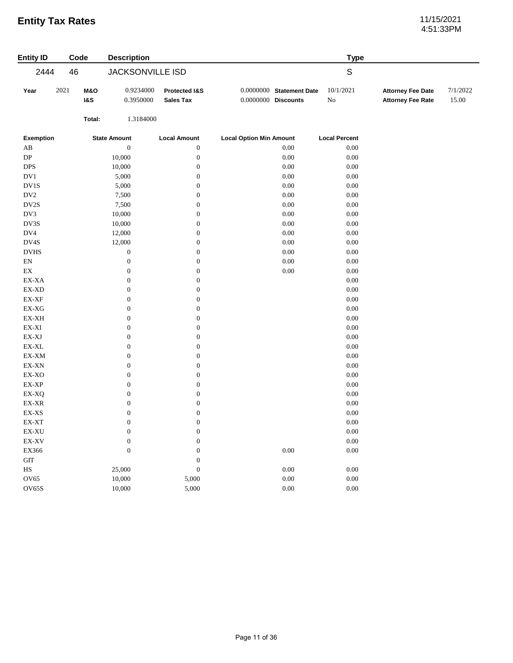# 4:51:33PM

| <b>Entity ID</b>                          | Code |                       | <b>Description</b>     |                                   |                                                   | <b>Type</b>          |                                                      |                   |
|-------------------------------------------|------|-----------------------|------------------------|-----------------------------------|---------------------------------------------------|----------------------|------------------------------------------------------|-------------------|
| 2444                                      | 46   |                       | JACKSONVILLE ISD       |                                   |                                                   | $\mathsf S$          |                                                      |                   |
| Year                                      | 2021 | M&O<br><b>1&amp;S</b> | 0.9234000<br>0.3950000 | Protected I&S<br><b>Sales Tax</b> | $0.0000000$ Statement Date<br>0.0000000 Discounts | 10/1/2021<br>No      | <b>Attorney Fee Date</b><br><b>Attorney Fee Rate</b> | 7/1/2022<br>15.00 |
|                                           |      | Total:                | 1.3184000              |                                   |                                                   |                      |                                                      |                   |
| <b>Exemption</b>                          |      |                       | <b>State Amount</b>    | <b>Local Amount</b>               | <b>Local Option Min Amount</b>                    | <b>Local Percent</b> |                                                      |                   |
| $\rm AB$                                  |      |                       | $\boldsymbol{0}$       | $\boldsymbol{0}$                  | 0.00                                              | $0.00\,$             |                                                      |                   |
| ${\rm DP}$                                |      |                       | 10,000                 | $\boldsymbol{0}$                  | $0.00\,$                                          | $0.00\,$             |                                                      |                   |
| <b>DPS</b>                                |      |                       | 10,000                 | $\boldsymbol{0}$                  | 0.00                                              | $0.00\,$             |                                                      |                   |
| $\rm DV1$                                 |      |                       | 5,000                  | $\boldsymbol{0}$                  | $0.00\,$                                          | $0.00\,$             |                                                      |                   |
| DV1S                                      |      |                       | 5,000                  | $\boldsymbol{0}$                  | $0.00\,$                                          | $0.00\,$             |                                                      |                   |
| $\rm DV2$                                 |      |                       | 7,500                  | $\boldsymbol{0}$                  | $0.00\,$                                          | $0.00\,$             |                                                      |                   |
| $\mathbf{D} \mathbf{V} \mathbf{2S}$       |      |                       | 7,500                  | $\boldsymbol{0}$                  | $0.00\,$                                          | $0.00\,$             |                                                      |                   |
| DV3                                       |      |                       | 10,000                 | $\boldsymbol{0}$                  | $0.00\,$                                          | 0.00                 |                                                      |                   |
| DV3S                                      |      |                       | 10,000                 | $\boldsymbol{0}$                  | $0.00\,$                                          | $0.00\,$             |                                                      |                   |
| DV4                                       |      |                       | 12,000                 | $\boldsymbol{0}$                  | $0.00\,$                                          | $0.00\,$             |                                                      |                   |
| DV4S                                      |      |                       | 12,000                 | $\boldsymbol{0}$                  | $0.00\,$                                          | $0.00\,$             |                                                      |                   |
| <b>DVHS</b>                               |      |                       | $\boldsymbol{0}$       | $\boldsymbol{0}$                  | 0.00                                              | 0.00                 |                                                      |                   |
| $\mathop{\rm EN}\nolimits$                |      |                       | $\boldsymbol{0}$       | $\boldsymbol{0}$                  | $0.00\,$                                          | $0.00\,$             |                                                      |                   |
| $\mathop{\rm EX}\nolimits$                |      |                       | $\boldsymbol{0}$       | $\boldsymbol{0}$                  | $0.00\,$                                          | $0.00\,$             |                                                      |                   |
| EX-XA                                     |      |                       | $\boldsymbol{0}$       | $\boldsymbol{0}$                  |                                                   | $0.00\,$             |                                                      |                   |
| EX-XD                                     |      |                       | $\boldsymbol{0}$       | $\boldsymbol{0}$                  |                                                   | 0.00                 |                                                      |                   |
| $\mathsf{EX}\text{-}\mathsf{XF}$          |      |                       | $\boldsymbol{0}$       | $\boldsymbol{0}$                  |                                                   | $0.00\,$             |                                                      |                   |
| $EX-XG$                                   |      |                       | $\boldsymbol{0}$       | $\boldsymbol{0}$                  |                                                   | $0.00\,$             |                                                      |                   |
| EX-XH                                     |      |                       | $\boldsymbol{0}$       | $\boldsymbol{0}$                  |                                                   | $0.00\,$             |                                                      |                   |
| EX-XI                                     |      |                       | $\boldsymbol{0}$       | $\boldsymbol{0}$                  |                                                   | 0.00                 |                                                      |                   |
| $\mathbf{EX}\text{-}\mathbf{X}\mathbf{J}$ |      |                       | $\boldsymbol{0}$       | $\boldsymbol{0}$                  |                                                   | $0.00\,$             |                                                      |                   |
| $\mathsf{EX}\text{-}\mathsf{XL}$          |      |                       | $\boldsymbol{0}$       | $\boldsymbol{0}$                  |                                                   | $0.00\,$             |                                                      |                   |
| EX-XM                                     |      |                       | $\boldsymbol{0}$       | $\boldsymbol{0}$                  |                                                   | $0.00\,$             |                                                      |                   |
| $\mathbf{EX}\text{-}\mathbf{X}\mathbf{N}$ |      |                       | $\boldsymbol{0}$       | $\boldsymbol{0}$                  |                                                   | $0.00\,$             |                                                      |                   |
| EX-XO                                     |      |                       | $\boldsymbol{0}$       | $\boldsymbol{0}$                  |                                                   | 0.00                 |                                                      |                   |
| $\mathbf{EX}\text{-}\mathbf{XP}$          |      |                       | $\boldsymbol{0}$       | $\boldsymbol{0}$                  |                                                   | $0.00\,$             |                                                      |                   |
| EX-XQ                                     |      |                       | $\boldsymbol{0}$       | $\boldsymbol{0}$                  |                                                   | $0.00\,$             |                                                      |                   |
| EX-XR                                     |      |                       | $\boldsymbol{0}$       | $\boldsymbol{0}$                  |                                                   | $0.00\,$             |                                                      |                   |
| EX-XS                                     |      |                       | $\boldsymbol{0}$       | $\boldsymbol{0}$                  |                                                   | $0.00\,$             |                                                      |                   |
| EX-XT                                     |      |                       | $\boldsymbol{0}$       | $\overline{0}$                    |                                                   | $0.00\,$             |                                                      |                   |
| $\mathbf{EX}\text{-}\mathbf{X}\mathbf{U}$ |      |                       | $\boldsymbol{0}$       | $\boldsymbol{0}$                  |                                                   | $0.00\,$             |                                                      |                   |
| EX-XV                                     |      |                       | $\boldsymbol{0}$       | $\boldsymbol{0}$                  |                                                   | $0.00\,$             |                                                      |                   |
| EX366                                     |      |                       | $\boldsymbol{0}$       | $\boldsymbol{0}$                  | $0.00\,$                                          | $0.00\,$             |                                                      |                   |
| $\operatorname{GIT}$                      |      |                       |                        | $\boldsymbol{0}$                  |                                                   |                      |                                                      |                   |
| $\rm HS$                                  |      |                       | 25,000                 | $\boldsymbol{0}$                  | $0.00\,$                                          | $0.00\,$             |                                                      |                   |
| <b>OV65</b>                               |      |                       | 10,000                 | 5,000                             | $0.00\,$                                          | $0.00\,$             |                                                      |                   |
| <b>OV65S</b>                              |      |                       | 10,000                 | 5,000                             | $0.00\,$                                          | $0.00\,$             |                                                      |                   |
|                                           |      |                       |                        |                                   |                                                   |                      |                                                      |                   |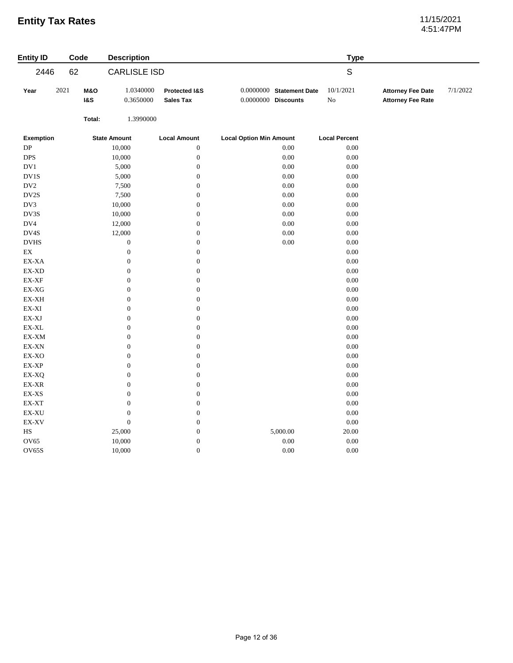# 4:51:47PM

| <b>Entity ID</b>                                           | Code |                                  | <b>Description</b>     |                                   |                                |                            | <b>Type</b>           |                                                      |          |
|------------------------------------------------------------|------|----------------------------------|------------------------|-----------------------------------|--------------------------------|----------------------------|-----------------------|------------------------------------------------------|----------|
| 2446                                                       | 62   |                                  | <b>CARLISLE ISD</b>    |                                   |                                |                            | $\mathsf S$           |                                                      |          |
| Year                                                       | 2021 | <b>M&amp;O</b><br><b>1&amp;S</b> | 1.0340000<br>0.3650000 | Protected I&S<br><b>Sales Tax</b> | $0.0000000$ Discounts          | $0.0000000$ Statement Date | 10/1/2021<br>$\rm No$ | <b>Attorney Fee Date</b><br><b>Attorney Fee Rate</b> | 7/1/2022 |
|                                                            |      | Total:                           | 1.3990000              |                                   |                                |                            |                       |                                                      |          |
| <b>Exemption</b>                                           |      |                                  | <b>State Amount</b>    | <b>Local Amount</b>               | <b>Local Option Min Amount</b> |                            | <b>Local Percent</b>  |                                                      |          |
| DP                                                         |      |                                  | 10,000                 | $\boldsymbol{0}$                  |                                | 0.00                       | $0.00\,$              |                                                      |          |
| $\ensuremath{\mathsf{DPS}}$                                |      |                                  | 10,000                 | $\boldsymbol{0}$                  |                                | 0.00                       | 0.00                  |                                                      |          |
| $\rm DV1$                                                  |      |                                  | 5,000                  | $\boldsymbol{0}$                  |                                | 0.00                       | 0.00                  |                                                      |          |
| $\rm DV1S$                                                 |      |                                  | 5,000                  | $\boldsymbol{0}$                  |                                | 0.00                       | $0.00\,$              |                                                      |          |
| $\rm DV2$                                                  |      |                                  | 7,500                  | $\boldsymbol{0}$                  |                                | 0.00                       | $0.00\,$              |                                                      |          |
| DV2S                                                       |      |                                  | 7,500                  | $\boldsymbol{0}$                  |                                | 0.00                       | $0.00\,$              |                                                      |          |
| DV3                                                        |      |                                  | 10,000                 | $\boldsymbol{0}$                  |                                | 0.00                       | $0.00\,$              |                                                      |          |
| DV3S                                                       |      |                                  | 10,000                 | $\boldsymbol{0}$                  |                                | 0.00                       | 0.00                  |                                                      |          |
| DV4                                                        |      |                                  | 12,000                 | $\boldsymbol{0}$                  |                                | 0.00                       | 0.00                  |                                                      |          |
| DV4S                                                       |      |                                  | 12,000                 | $\boldsymbol{0}$                  |                                | 0.00                       | 0.00                  |                                                      |          |
| <b>DVHS</b>                                                |      |                                  | $\boldsymbol{0}$       | $\boldsymbol{0}$                  |                                | 0.00                       | $0.00\,$              |                                                      |          |
| $\mathop{\rm EX}\nolimits$                                 |      |                                  | $\boldsymbol{0}$       | $\boldsymbol{0}$                  |                                |                            | $0.00\,$              |                                                      |          |
| EX-XA                                                      |      |                                  | $\boldsymbol{0}$       | $\boldsymbol{0}$                  |                                |                            | $0.00\,$              |                                                      |          |
| $\mathbf{EX}\text{-}\mathbf{X}\mathbf{D}$                  |      |                                  | $\boldsymbol{0}$       | $\boldsymbol{0}$                  |                                |                            | $0.00\,$              |                                                      |          |
| $\mathbf{EX}\text{-}\mathbf{XF}$                           |      |                                  | $\boldsymbol{0}$       | $\boldsymbol{0}$                  |                                |                            | $0.00\,$              |                                                      |          |
| $EX-XG$                                                    |      |                                  | $\boldsymbol{0}$       | $\boldsymbol{0}$                  |                                |                            | $0.00\,$              |                                                      |          |
| EX-XH                                                      |      |                                  | $\boldsymbol{0}$       | $\boldsymbol{0}$                  |                                |                            | $0.00\,$              |                                                      |          |
| $EX-XI$                                                    |      |                                  | $\boldsymbol{0}$       | $\boldsymbol{0}$                  |                                |                            | $0.00\,$              |                                                      |          |
| $\mathbf{EX}\text{-}\mathbf{X}\mathbf{J}$                  |      |                                  | $\boldsymbol{0}$       | $\boldsymbol{0}$                  |                                |                            | 0.00                  |                                                      |          |
| $\mathsf{EX}\text{-}\mathsf{XL}$                           |      |                                  | $\boldsymbol{0}$       | $\boldsymbol{0}$                  |                                |                            | $0.00\,$              |                                                      |          |
| $\mathbf{EX}\text{-}\mathbf{XM}$                           |      |                                  | $\boldsymbol{0}$       | $\boldsymbol{0}$                  |                                |                            | 0.00                  |                                                      |          |
| $\mathbf{EX}\text{-}\mathbf{X}\mathbf{N}$                  |      |                                  | $\boldsymbol{0}$       | $\boldsymbol{0}$                  |                                |                            | $0.00\,$              |                                                      |          |
| EX-XO                                                      |      |                                  | $\boldsymbol{0}$       | $\boldsymbol{0}$                  |                                |                            | $0.00\,$              |                                                      |          |
| EX-XP                                                      |      |                                  | $\boldsymbol{0}$       | $\boldsymbol{0}$                  |                                |                            | $0.00\,$              |                                                      |          |
| EX-XQ                                                      |      |                                  | $\boldsymbol{0}$       | $\boldsymbol{0}$                  |                                |                            | $0.00\,$              |                                                      |          |
| $\mathop{\rm EX}\nolimits\text{-}\mathop{\rm XR}\nolimits$ |      |                                  | $\boldsymbol{0}$       | $\boldsymbol{0}$                  |                                |                            | 0.00                  |                                                      |          |
| $\mathbf{EX}\text{-}\mathbf{XS}$                           |      |                                  | $\boldsymbol{0}$       | $\boldsymbol{0}$                  |                                |                            | 0.00                  |                                                      |          |
| $\mathsf{EX}\text{-}\mathsf{XT}$                           |      |                                  | $\boldsymbol{0}$       | $\boldsymbol{0}$                  |                                |                            | $0.00\,$              |                                                      |          |
| $\mathbf{EX}\text{-}\mathbf{X}\mathbf{U}$                  |      |                                  | $\boldsymbol{0}$       | $\boldsymbol{0}$                  |                                |                            | $0.00\,$              |                                                      |          |
| EX-XV                                                      |      |                                  | $\boldsymbol{0}$       | $\boldsymbol{0}$                  |                                |                            | $0.00\,$              |                                                      |          |
| $_{\rm HS}$                                                |      |                                  | 25,000                 | $\boldsymbol{0}$                  |                                | 5,000.00                   | 20.00                 |                                                      |          |
| OV65                                                       |      |                                  | 10,000                 | $\boldsymbol{0}$                  |                                | 0.00                       | $0.00\,$              |                                                      |          |
| OV65S                                                      |      |                                  | 10,000                 | $\boldsymbol{0}$                  |                                | 0.00                       | $0.00\,$              |                                                      |          |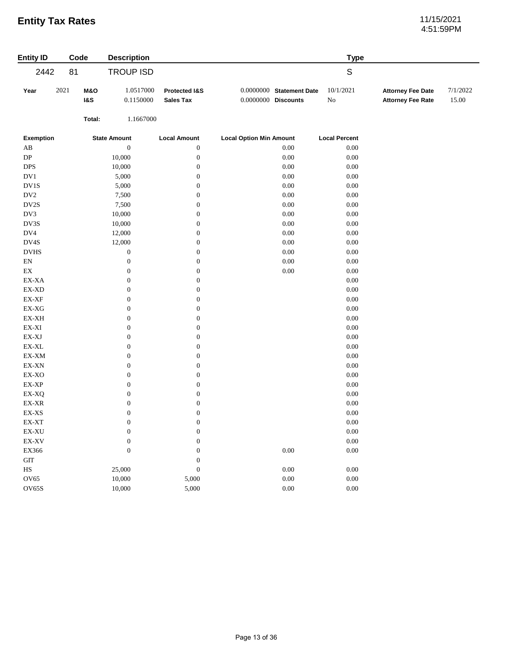# 4:51:59PM

| <b>Entity ID</b>                                           | Code |                                  | <b>Description</b>     |                                   |                                                     | <b>Type</b>           |                                                      |                   |
|------------------------------------------------------------|------|----------------------------------|------------------------|-----------------------------------|-----------------------------------------------------|-----------------------|------------------------------------------------------|-------------------|
| 2442                                                       | 81   |                                  | <b>TROUP ISD</b>       |                                   |                                                     | $\mathsf S$           |                                                      |                   |
| Year                                                       | 2021 | <b>M&amp;O</b><br><b>1&amp;S</b> | 1.0517000<br>0.1150000 | Protected I&S<br><b>Sales Tax</b> | $0.0000000$ Statement Date<br>$0.0000000$ Discounts | 10/1/2021<br>$\rm No$ | <b>Attorney Fee Date</b><br><b>Attorney Fee Rate</b> | 7/1/2022<br>15.00 |
|                                                            |      | Total:                           | 1.1667000              |                                   |                                                     |                       |                                                      |                   |
| <b>Exemption</b>                                           |      |                                  | <b>State Amount</b>    | <b>Local Amount</b>               | <b>Local Option Min Amount</b>                      | <b>Local Percent</b>  |                                                      |                   |
| $\mathbf{A}\mathbf{B}$                                     |      |                                  | $\boldsymbol{0}$       | $\boldsymbol{0}$                  | 0.00                                                | $0.00\,$              |                                                      |                   |
| ${\rm DP}$                                                 |      |                                  | 10,000                 | $\boldsymbol{0}$                  | $0.00\,$                                            | $0.00\,$              |                                                      |                   |
| <b>DPS</b>                                                 |      |                                  | 10,000                 | $\boldsymbol{0}$                  | $0.00\,$                                            | $0.00\,$              |                                                      |                   |
| $\rm DV1$                                                  |      |                                  | 5,000                  | $\boldsymbol{0}$                  | $0.00\,$                                            | $0.00\,$              |                                                      |                   |
| DV1S                                                       |      |                                  | 5,000                  | $\boldsymbol{0}$                  | $0.00\,$                                            | 0.00                  |                                                      |                   |
| $\rm DV2$                                                  |      |                                  | 7,500                  | $\boldsymbol{0}$                  | $0.00\,$                                            | $0.00\,$              |                                                      |                   |
| DV2S                                                       |      |                                  | 7,500                  | $\boldsymbol{0}$                  | $0.00\,$                                            | $0.00\,$              |                                                      |                   |
| DV3                                                        |      |                                  | 10,000                 | $\boldsymbol{0}$                  | $0.00\,$                                            | $0.00\,$              |                                                      |                   |
| DV3S                                                       |      |                                  | 10,000                 | $\boldsymbol{0}$                  | 0.00                                                | $0.00\,$              |                                                      |                   |
| $\rm DV4$                                                  |      |                                  | 12,000                 | $\boldsymbol{0}$                  | $0.00\,$                                            | $0.00\,$              |                                                      |                   |
| DV4S                                                       |      |                                  | 12,000                 | $\boldsymbol{0}$                  | $0.00\,$                                            | $0.00\,$              |                                                      |                   |
| $_{\mathrm{DVHS}}$                                         |      |                                  | $\boldsymbol{0}$       | $\boldsymbol{0}$                  | $0.00\,$                                            | $0.00\,$              |                                                      |                   |
| ${\rm EN}$                                                 |      |                                  | $\boldsymbol{0}$       | $\boldsymbol{0}$                  | $0.00\,$                                            | 0.00                  |                                                      |                   |
| $\mathop{\rm EX}\nolimits$                                 |      |                                  | $\boldsymbol{0}$       | $\boldsymbol{0}$                  | $0.00\,$                                            | $0.00\,$              |                                                      |                   |
| EX-XA                                                      |      |                                  | $\boldsymbol{0}$       | $\boldsymbol{0}$                  |                                                     | $0.00\,$              |                                                      |                   |
| $\mathbf{EX}\text{-}\mathbf{X}\mathbf{D}$                  |      |                                  | $\boldsymbol{0}$       | $\boldsymbol{0}$                  |                                                     | $0.00\,$              |                                                      |                   |
| $\mathbf{EX}\text{-}\mathbf{XF}$                           |      |                                  | $\boldsymbol{0}$       | $\boldsymbol{0}$                  |                                                     | $0.00\,$              |                                                      |                   |
| $EX-XG$                                                    |      |                                  | $\boldsymbol{0}$       | $\boldsymbol{0}$                  |                                                     | $0.00\,$              |                                                      |                   |
| $\mathbf{EX}\text{-}\mathbf{X}\mathbf{H}$                  |      |                                  | $\boldsymbol{0}$       | $\boldsymbol{0}$                  |                                                     | $0.00\,$              |                                                      |                   |
| $\mathbf{EX}\text{-}\mathbf{XI}$                           |      |                                  | $\boldsymbol{0}$       | $\boldsymbol{0}$                  |                                                     | $0.00\,$              |                                                      |                   |
| $\mathbf{EX}\text{-}\mathbf{X}\mathbf{J}$                  |      |                                  | $\boldsymbol{0}$       | $\boldsymbol{0}$                  |                                                     | $0.00\,$              |                                                      |                   |
| $\mathsf{EX}\text{-}\mathsf{XL}$                           |      |                                  | $\boldsymbol{0}$       | $\boldsymbol{0}$                  |                                                     | $0.00\,$              |                                                      |                   |
| $\mathbf{EX}\text{-}\mathbf{XM}$                           |      |                                  | $\boldsymbol{0}$       | $\boldsymbol{0}$                  |                                                     | $0.00\,$              |                                                      |                   |
| $\mathbf{EX}\text{-}\mathbf{X}\mathbf{N}$                  |      |                                  | $\boldsymbol{0}$       | $\boldsymbol{0}$                  |                                                     | $0.00\,$              |                                                      |                   |
| $\ensuremath{\text{EX-XO}}$                                |      |                                  | $\boldsymbol{0}$       | $\boldsymbol{0}$                  |                                                     | $0.00\,$              |                                                      |                   |
| EX-XP                                                      |      |                                  | $\boldsymbol{0}$       | $\boldsymbol{0}$                  |                                                     | $0.00\,$              |                                                      |                   |
| EX-XQ                                                      |      |                                  | $\boldsymbol{0}$       | $\boldsymbol{0}$                  |                                                     | $0.00\,$              |                                                      |                   |
| $\mathop{\rm EX}\nolimits\text{-}\mathop{\rm XR}\nolimits$ |      |                                  | $\boldsymbol{0}$       | $\boldsymbol{0}$                  |                                                     | $0.00\,$              |                                                      |                   |
| $\mathbf{EX}\text{-}\mathbf{XS}$                           |      |                                  | $\boldsymbol{0}$       | $\boldsymbol{0}$                  |                                                     | $0.00\,$              |                                                      |                   |
| EX-XT                                                      |      |                                  | $\boldsymbol{0}$       | $\boldsymbol{0}$                  |                                                     | $0.00\,$              |                                                      |                   |
| $\mathbf{EX}\text{-}\mathbf{X}\mathbf{U}$                  |      |                                  | $\boldsymbol{0}$       | $\boldsymbol{0}$                  |                                                     | $0.00\,$              |                                                      |                   |
| $\mathbf{EX}\text{-}\mathbf{X}\mathbf{V}$                  |      |                                  | $\boldsymbol{0}$       | $\mathbf{0}$                      |                                                     | $0.00\,$              |                                                      |                   |
| EX366                                                      |      |                                  | $\boldsymbol{0}$       | $\boldsymbol{0}$                  | $0.00\,$                                            | $0.00\,$              |                                                      |                   |
| $\operatorname{GIT}$                                       |      |                                  |                        | $\boldsymbol{0}$                  |                                                     |                       |                                                      |                   |
| $_{\rm HS}$                                                |      |                                  | 25,000                 | $\boldsymbol{0}$                  | 0.00                                                | $0.00\,$              |                                                      |                   |
| OV65                                                       |      |                                  | 10,000                 | 5,000                             | $0.00\,$                                            | $0.00\,$              |                                                      |                   |
| OV65S                                                      |      |                                  | 10,000                 | 5,000                             | $0.00\,$                                            | $0.00\,$              |                                                      |                   |
|                                                            |      |                                  |                        |                                   |                                                     |                       |                                                      |                   |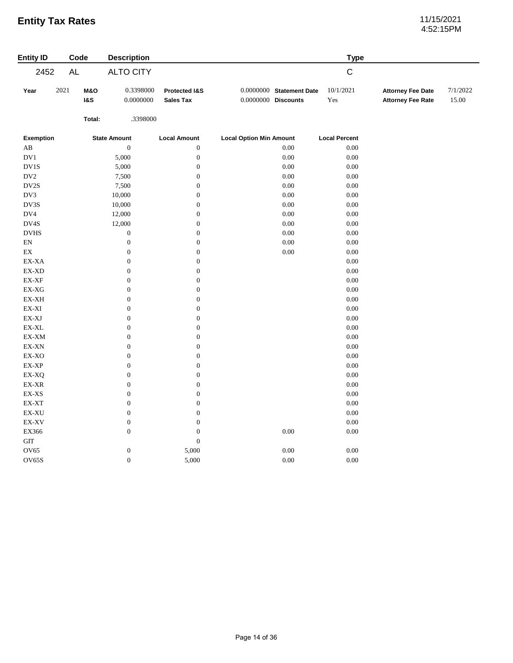# 4:52:15PM

| <b>Entity ID</b>                 | Code                                     | <b>Description</b>     |                                   |                                                   | <b>Type</b>          |                                                      |                   |
|----------------------------------|------------------------------------------|------------------------|-----------------------------------|---------------------------------------------------|----------------------|------------------------------------------------------|-------------------|
| 2452                             | AL                                       | <b>ALTO CITY</b>       |                                   |                                                   | $\mathsf C$          |                                                      |                   |
| Year                             | 2021<br><b>M&amp;O</b><br><b>1&amp;S</b> | 0.3398000<br>0.0000000 | Protected I&S<br><b>Sales Tax</b> | 0.0000000 Statement Date<br>$0.0000000$ Discounts | 10/1/2021<br>Yes     | <b>Attorney Fee Date</b><br><b>Attorney Fee Rate</b> | 7/1/2022<br>15.00 |
|                                  | Total:                                   | .3398000               |                                   |                                                   |                      |                                                      |                   |
| <b>Exemption</b>                 |                                          | <b>State Amount</b>    | <b>Local Amount</b>               | <b>Local Option Min Amount</b>                    | <b>Local Percent</b> |                                                      |                   |
| AB                               |                                          | $\boldsymbol{0}$       | $\boldsymbol{0}$                  | 0.00                                              | 0.00                 |                                                      |                   |
| DV1                              |                                          | 5,000                  | $\boldsymbol{0}$                  | $0.00\,$                                          | 0.00                 |                                                      |                   |
| DV1S                             |                                          | 5,000                  | $\boldsymbol{0}$                  | $0.00\,$                                          | 0.00                 |                                                      |                   |
| $\rm DV2$                        |                                          | 7,500                  | $\boldsymbol{0}$                  | $0.00\,$                                          | 0.00                 |                                                      |                   |
| DV2S                             |                                          | 7,500                  | $\boldsymbol{0}$                  | $0.00\,$                                          | 0.00                 |                                                      |                   |
| DV3                              |                                          | 10,000                 | $\boldsymbol{0}$                  | 0.00                                              | 0.00                 |                                                      |                   |
| DV3S                             |                                          | 10,000                 | $\boldsymbol{0}$                  | 0.00                                              | 0.00                 |                                                      |                   |
| DV4                              |                                          | 12,000                 | $\boldsymbol{0}$                  | $0.00\,$                                          | 0.00                 |                                                      |                   |
| DV4S                             |                                          | 12,000                 | $\boldsymbol{0}$                  | $0.00\,$                                          | 0.00                 |                                                      |                   |
| <b>DVHS</b>                      |                                          | $\boldsymbol{0}$       | $\boldsymbol{0}$                  | $0.00\,$                                          | 0.00                 |                                                      |                   |
| $\mathop{\rm EN}\nolimits$       |                                          | $\boldsymbol{0}$       | $\boldsymbol{0}$                  | 0.00                                              | 0.00                 |                                                      |                   |
| $\mathop{\rm EX}\nolimits$       |                                          | $\boldsymbol{0}$       | $\boldsymbol{0}$                  | $0.00\,$                                          | 0.00                 |                                                      |                   |
| EX-XA                            |                                          | $\boldsymbol{0}$       | $\boldsymbol{0}$                  |                                                   | 0.00                 |                                                      |                   |
| $EX-XD$                          |                                          | $\boldsymbol{0}$       | $\boldsymbol{0}$                  |                                                   | 0.00                 |                                                      |                   |
| EX-XF                            |                                          | $\boldsymbol{0}$       | $\boldsymbol{0}$                  |                                                   | 0.00                 |                                                      |                   |
| EX-XG                            |                                          | $\boldsymbol{0}$       | $\boldsymbol{0}$                  |                                                   | $0.00\,$             |                                                      |                   |
| EX-XH                            |                                          | $\boldsymbol{0}$       | $\boldsymbol{0}$                  |                                                   | $0.00\,$             |                                                      |                   |
| $\mathbf{EX}\text{-}\mathbf{XI}$ |                                          | $\boldsymbol{0}$       | $\boldsymbol{0}$                  |                                                   | $0.00\,$             |                                                      |                   |
| EX-XJ                            |                                          | $\boldsymbol{0}$       | $\boldsymbol{0}$                  |                                                   | $0.00\,$             |                                                      |                   |
| $\mathsf{EX}\text{-}\mathsf{XL}$ |                                          | $\boldsymbol{0}$       | $\boldsymbol{0}$                  |                                                   | 0.00                 |                                                      |                   |
| EX-XM                            |                                          | $\boldsymbol{0}$       | $\boldsymbol{0}$                  |                                                   | 0.00                 |                                                      |                   |
| EX-XN                            |                                          | $\overline{0}$         | $\boldsymbol{0}$                  |                                                   | 0.00                 |                                                      |                   |
| EX-XO                            |                                          | $\boldsymbol{0}$       | $\boldsymbol{0}$                  |                                                   | 0.00                 |                                                      |                   |
| $\mathbf{EX}\text{-}\mathbf{XP}$ |                                          | $\boldsymbol{0}$       | $\boldsymbol{0}$                  |                                                   | 0.00                 |                                                      |                   |
| EX-XQ                            |                                          | $\boldsymbol{0}$       | $\boldsymbol{0}$                  |                                                   | $0.00\,$             |                                                      |                   |
| $\mathbf{EX}\text{-}\mathbf{XR}$ |                                          | $\boldsymbol{0}$       | $\boldsymbol{0}$                  |                                                   | $0.00\,$             |                                                      |                   |
| $\mathbf{EX}\text{-}\mathbf{XS}$ |                                          | $\boldsymbol{0}$       | $\boldsymbol{0}$                  |                                                   | 0.00                 |                                                      |                   |
| $\mathsf{EX}\text{-}\mathsf{XT}$ |                                          | $\boldsymbol{0}$       | $\boldsymbol{0}$                  |                                                   | $0.00\,$             |                                                      |                   |
| EX-XU                            |                                          | $\boldsymbol{0}$       | $\boldsymbol{0}$                  |                                                   | $0.00\,$             |                                                      |                   |
| EX-XV                            |                                          | $\boldsymbol{0}$       | $\boldsymbol{0}$                  |                                                   | $0.00\,$             |                                                      |                   |
| EX366                            |                                          | $\boldsymbol{0}$       | $\boldsymbol{0}$                  | 0.00                                              | $0.00\,$             |                                                      |                   |
| <b>GIT</b>                       |                                          |                        | $\boldsymbol{0}$                  |                                                   |                      |                                                      |                   |
| OV65                             |                                          | $\boldsymbol{0}$       | 5,000                             | $0.00\,$                                          | $0.00\,$             |                                                      |                   |
| <b>OV65S</b>                     |                                          | $\boldsymbol{0}$       | 5,000                             | $0.00\,$                                          | $0.00\,$             |                                                      |                   |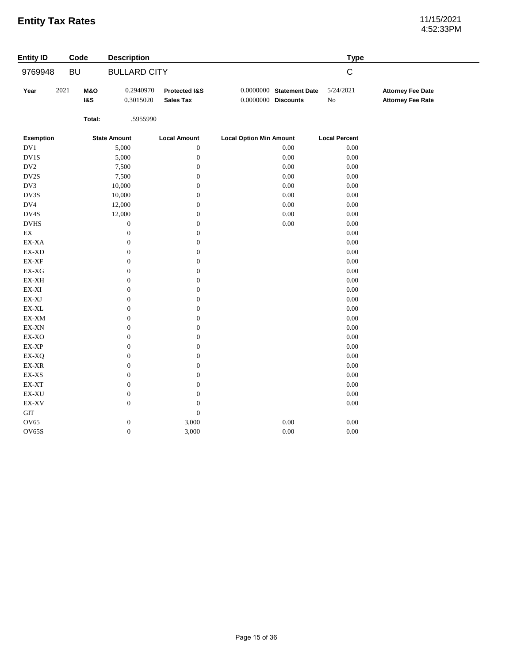# 4:52:33PM

| <b>Entity ID</b>                          |           | Code                             | <b>Description</b>     |                                   |                                                     |          | <b>Type</b>             |                                                      |
|-------------------------------------------|-----------|----------------------------------|------------------------|-----------------------------------|-----------------------------------------------------|----------|-------------------------|------------------------------------------------------|
| 9769948                                   | <b>BU</b> |                                  | <b>BULLARD CITY</b>    |                                   |                                                     |          | $\mathsf C$             |                                                      |
| Year                                      | 2021      | <b>M&amp;O</b><br><b>1&amp;S</b> | 0.2940970<br>0.3015020 | Protected I&S<br><b>Sales Tax</b> | $0.0000000$ Statement Date<br>$0.0000000$ Discounts |          | 5/24/2021<br>${\rm No}$ | <b>Attorney Fee Date</b><br><b>Attorney Fee Rate</b> |
|                                           |           | Total:                           | .5955990               |                                   |                                                     |          |                         |                                                      |
| <b>Exemption</b>                          |           |                                  | <b>State Amount</b>    | <b>Local Amount</b>               | <b>Local Option Min Amount</b>                      |          | <b>Local Percent</b>    |                                                      |
| $\rm DV1$                                 |           |                                  | 5,000                  | $\boldsymbol{0}$                  |                                                     | $0.00\,$ | $0.00\,$                |                                                      |
| DV1S                                      |           |                                  | 5,000                  | $\boldsymbol{0}$                  |                                                     | $0.00\,$ | $0.00\,$                |                                                      |
| $\rm DV2$                                 |           |                                  | 7,500                  | $\boldsymbol{0}$                  |                                                     | $0.00\,$ | $0.00\,$                |                                                      |
| DV2S                                      |           |                                  | 7,500                  | $\boldsymbol{0}$                  |                                                     | $0.00\,$ | 0.00                    |                                                      |
| DV3                                       |           |                                  | 10,000                 | $\boldsymbol{0}$                  |                                                     | $0.00\,$ | 0.00                    |                                                      |
| DV3S                                      |           |                                  | 10,000                 | $\boldsymbol{0}$                  |                                                     | $0.00\,$ | $0.00\,$                |                                                      |
| DV4                                       |           |                                  | 12,000                 | $\boldsymbol{0}$                  |                                                     | $0.00\,$ | $0.00\,$                |                                                      |
| DV4S                                      |           |                                  | 12,000                 | $\boldsymbol{0}$                  |                                                     | $0.00\,$ | $0.00\,$                |                                                      |
| <b>DVHS</b>                               |           |                                  | $\mathbf{0}$           | $\boldsymbol{0}$                  |                                                     | $0.00\,$ | 0.00                    |                                                      |
| $\mathop{\rm EX}\nolimits$                |           |                                  | $\boldsymbol{0}$       | $\boldsymbol{0}$                  |                                                     |          | 0.00                    |                                                      |
| EX-XA                                     |           |                                  | $\mathbf{0}$           | $\boldsymbol{0}$                  |                                                     |          | $0.00\,$                |                                                      |
| EX-XD                                     |           |                                  | $\boldsymbol{0}$       | $\boldsymbol{0}$                  |                                                     |          | $0.00\,$                |                                                      |
| $\mathbf{EX}\text{-}\mathbf{XF}$          |           |                                  | $\boldsymbol{0}$       | $\boldsymbol{0}$                  |                                                     |          | $0.00\,$                |                                                      |
| $\mathbf{EX}\text{-}\mathbf{X}\mathbf{G}$ |           |                                  | $\mathbf{0}$           | $\boldsymbol{0}$                  |                                                     |          | 0.00                    |                                                      |
| $\mathbf{EX}\text{-}\mathbf{X}\mathbf{H}$ |           |                                  | $\boldsymbol{0}$       | $\boldsymbol{0}$                  |                                                     |          | $0.00\,$                |                                                      |
| $\mathbf{EX}\text{-}\mathbf{XI}$          |           |                                  | $\mathbf{0}$           | $\boldsymbol{0}$                  |                                                     |          | 0.00                    |                                                      |
| $\mathbf{EX}\text{-}\mathbf{X}\mathbf{J}$ |           |                                  | $\boldsymbol{0}$       | $\boldsymbol{0}$                  |                                                     |          | $0.00\,$                |                                                      |
| $\mathsf{EX}\text{-}\mathsf{XL}$          |           |                                  | $\boldsymbol{0}$       | $\boldsymbol{0}$                  |                                                     |          | $0.00\,$                |                                                      |
| EX-XM                                     |           |                                  | $\mathbf{0}$           | $\boldsymbol{0}$                  |                                                     |          | 0.00                    |                                                      |
| $\mathbf{EX}\text{-}\mathbf{X}\mathbf{N}$ |           |                                  | $\mathbf{0}$           | $\boldsymbol{0}$                  |                                                     |          | 0.00                    |                                                      |
| EX-XO                                     |           |                                  | $\boldsymbol{0}$       | $\boldsymbol{0}$                  |                                                     |          | $0.00\,$                |                                                      |
| EX-XP                                     |           |                                  | $\boldsymbol{0}$       | $\boldsymbol{0}$                  |                                                     |          | $0.00\,$                |                                                      |
| EX-XQ                                     |           |                                  | $\boldsymbol{0}$       | $\boldsymbol{0}$                  |                                                     |          | $0.00\,$                |                                                      |
| $\mathbf{EX}\text{-}\mathbf{XR}$          |           |                                  | $\boldsymbol{0}$       | $\boldsymbol{0}$                  |                                                     |          | $0.00\,$                |                                                      |
| EX-XS                                     |           |                                  | $\boldsymbol{0}$       | $\boldsymbol{0}$                  |                                                     |          | 0.00                    |                                                      |
| EX-XT                                     |           |                                  | $\mathbf{0}$           | $\boldsymbol{0}$                  |                                                     |          | 0.00                    |                                                      |
| $\mathbf{EX}\text{-}\mathbf{X}\mathbf{U}$ |           |                                  | $\boldsymbol{0}$       | $\boldsymbol{0}$                  |                                                     |          | $0.00\,$                |                                                      |
| $\mathbf{EX}\text{-}\mathbf{X}\mathbf{V}$ |           |                                  | $\boldsymbol{0}$       | $\boldsymbol{0}$                  |                                                     |          | $0.00\,$                |                                                      |
| $\operatorname{GIT}$                      |           |                                  |                        | $\boldsymbol{0}$                  |                                                     |          |                         |                                                      |
| <b>OV65</b>                               |           |                                  | $\boldsymbol{0}$       | 3,000                             |                                                     | $0.00\,$ | 0.00                    |                                                      |
| <b>OV65S</b>                              |           |                                  | $\boldsymbol{0}$       | 3,000                             |                                                     | $0.00\,$ | $0.00\,$                |                                                      |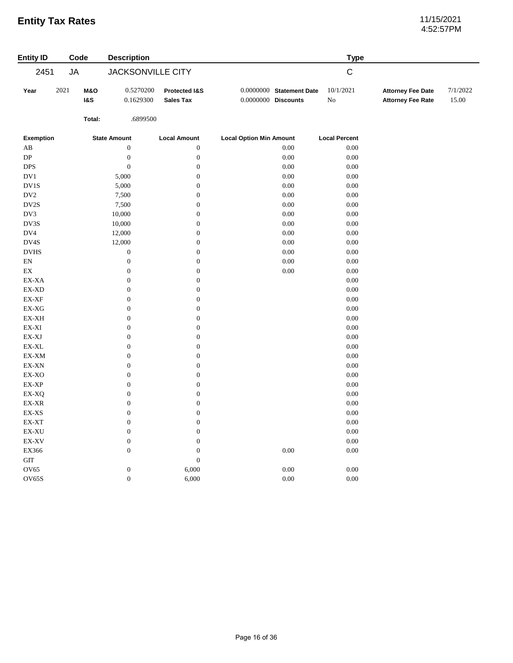# 4:52:57PM

| <b>Entity ID</b>                                           | Code |                                  | <b>Description</b>       |                                   |                                                     | <b>Type</b>           |                                                      |                   |
|------------------------------------------------------------|------|----------------------------------|--------------------------|-----------------------------------|-----------------------------------------------------|-----------------------|------------------------------------------------------|-------------------|
| 2451                                                       | JA   |                                  | <b>JACKSONVILLE CITY</b> |                                   |                                                     | $\mathsf C$           |                                                      |                   |
| Year                                                       | 2021 | <b>M&amp;O</b><br><b>1&amp;S</b> | 0.5270200<br>0.1629300   | Protected I&S<br><b>Sales Tax</b> | $0.0000000$ Statement Date<br>$0.0000000$ Discounts | 10/1/2021<br>$\rm No$ | <b>Attorney Fee Date</b><br><b>Attorney Fee Rate</b> | 7/1/2022<br>15.00 |
|                                                            |      | Total:                           | .6899500                 |                                   |                                                     |                       |                                                      |                   |
| <b>Exemption</b>                                           |      |                                  | <b>State Amount</b>      | <b>Local Amount</b>               | <b>Local Option Min Amount</b>                      | <b>Local Percent</b>  |                                                      |                   |
| AB                                                         |      |                                  | $\boldsymbol{0}$         | $\boldsymbol{0}$                  | 0.00                                                | $0.00\,$              |                                                      |                   |
| ${\rm DP}$                                                 |      |                                  | $\boldsymbol{0}$         | $\boldsymbol{0}$                  | 0.00                                                | $0.00\,$              |                                                      |                   |
| <b>DPS</b>                                                 |      |                                  | $\boldsymbol{0}$         | $\boldsymbol{0}$                  | $0.00\,$                                            | $0.00\,$              |                                                      |                   |
| $\rm DV1$                                                  |      |                                  | 5,000                    | $\boldsymbol{0}$                  | $0.00\,$                                            | $0.00\,$              |                                                      |                   |
| DV1S                                                       |      |                                  | 5,000                    | $\boldsymbol{0}$                  | $0.00\,$                                            | $0.00\,$              |                                                      |                   |
| DV <sub>2</sub>                                            |      |                                  | 7,500                    | $\boldsymbol{0}$                  | $0.00\,$                                            | 0.00                  |                                                      |                   |
| DV2S                                                       |      |                                  | 7,500                    | $\mathbf{0}$                      | $0.00\,$                                            | $0.00\,$              |                                                      |                   |
| DV3                                                        |      |                                  | 10,000                   | $\boldsymbol{0}$                  | $0.00\,$                                            | $0.00\,$              |                                                      |                   |
| DV3S                                                       |      |                                  | 10,000                   | $\boldsymbol{0}$                  | $0.00\,$                                            | $0.00\,$              |                                                      |                   |
| DV4                                                        |      |                                  | 12,000                   | $\boldsymbol{0}$                  | 0.00                                                | 0.00                  |                                                      |                   |
| DV4S                                                       |      |                                  | 12,000                   | $\boldsymbol{0}$                  | $0.00\,$                                            | $0.00\,$              |                                                      |                   |
| <b>DVHS</b>                                                |      |                                  | $\boldsymbol{0}$         | $\boldsymbol{0}$                  | $0.00\,$                                            | $0.00\,$              |                                                      |                   |
| $\mathop{\rm EN}\nolimits$                                 |      |                                  | $\boldsymbol{0}$         | $\boldsymbol{0}$                  | $0.00\,$                                            | $0.00\,$              |                                                      |                   |
| $\mathop{\rm EX}\nolimits$                                 |      |                                  | $\boldsymbol{0}$         | $\boldsymbol{0}$                  | $0.00\,$                                            | 0.00                  |                                                      |                   |
| EX-XA                                                      |      |                                  | $\boldsymbol{0}$         | $\boldsymbol{0}$                  |                                                     | $0.00\,$              |                                                      |                   |
| $\mathop{\rm EX}\nolimits\text{-}\mathop{\rm XD}\nolimits$ |      |                                  | $\boldsymbol{0}$         | $\boldsymbol{0}$                  |                                                     | $0.00\,$              |                                                      |                   |
| $\mathbf{EX}\text{-}\mathbf{XF}$                           |      |                                  | $\boldsymbol{0}$         | $\boldsymbol{0}$                  |                                                     | $0.00\,$              |                                                      |                   |
| $\mathbf{EX}\text{-}\mathbf{X}\mathbf{G}$                  |      |                                  | $\boldsymbol{0}$         | $\boldsymbol{0}$                  |                                                     | $0.00\,$              |                                                      |                   |
| EX-XH                                                      |      |                                  | $\boldsymbol{0}$         | $\boldsymbol{0}$                  |                                                     | $0.00\,$              |                                                      |                   |
| $\mathbf{EX}\text{-}\mathbf{XI}$                           |      |                                  | $\boldsymbol{0}$         | $\boldsymbol{0}$                  |                                                     | $0.00\,$              |                                                      |                   |
| $\mathbf{EX}\text{-}\mathbf{X}\mathbf{J}$                  |      |                                  | $\boldsymbol{0}$         | $\boldsymbol{0}$                  |                                                     | $0.00\,$              |                                                      |                   |
| $\mathsf{EX}\text{-}\mathsf{XL}$                           |      |                                  | $\boldsymbol{0}$         | $\boldsymbol{0}$                  |                                                     | $0.00\,$              |                                                      |                   |
| EX-XM                                                      |      |                                  | $\boldsymbol{0}$         | $\boldsymbol{0}$                  |                                                     | $0.00\,$              |                                                      |                   |
| $\mathbf{EX}\text{-}\mathbf{X}\mathbf{N}$                  |      |                                  | $\boldsymbol{0}$         | $\boldsymbol{0}$                  |                                                     | $0.00\,$              |                                                      |                   |
| EX-XO                                                      |      |                                  | $\boldsymbol{0}$         | $\boldsymbol{0}$                  |                                                     | $0.00\,$              |                                                      |                   |
| $\mathbf{EX}\text{-}\mathbf{XP}$                           |      |                                  | $\boldsymbol{0}$         | $\boldsymbol{0}$                  |                                                     | $0.00\,$              |                                                      |                   |
| EX-XQ                                                      |      |                                  | $\boldsymbol{0}$         | $\boldsymbol{0}$                  |                                                     | $0.00\,$              |                                                      |                   |
| EX-XR                                                      |      |                                  | $\boldsymbol{0}$         | $\boldsymbol{0}$                  |                                                     | $0.00\,$              |                                                      |                   |
| $\mathbf{EX}\text{-}\mathbf{XS}$                           |      |                                  | $\boldsymbol{0}$         | $\boldsymbol{0}$                  |                                                     | $0.00\,$              |                                                      |                   |
| EX-XT                                                      |      |                                  | $\boldsymbol{0}$         | $\boldsymbol{0}$                  |                                                     | 0.00                  |                                                      |                   |
| $\mathbf{EX}\text{-}\mathbf{X}\mathbf{U}$                  |      |                                  | $\boldsymbol{0}$         | $\boldsymbol{0}$                  |                                                     | 0.00                  |                                                      |                   |
| $\mathbf{EX}\text{-}\mathbf{X}\mathbf{V}$                  |      |                                  | $\boldsymbol{0}$         | $\boldsymbol{0}$                  |                                                     | $0.00\,$              |                                                      |                   |
| EX366                                                      |      |                                  | $\boldsymbol{0}$         | $\boldsymbol{0}$                  | $0.00\,$                                            | $0.00\,$              |                                                      |                   |
| $\operatorname{GIT}$                                       |      |                                  |                          | $\boldsymbol{0}$                  |                                                     |                       |                                                      |                   |
| OV65                                                       |      |                                  | $\boldsymbol{0}$         | 6,000                             | $0.00\,$                                            | $0.00\,$              |                                                      |                   |
| OV65S                                                      |      |                                  | $\boldsymbol{0}$         | 6,000                             | 0.00                                                | $0.00\,$              |                                                      |                   |
|                                                            |      |                                  |                          |                                   |                                                     |                       |                                                      |                   |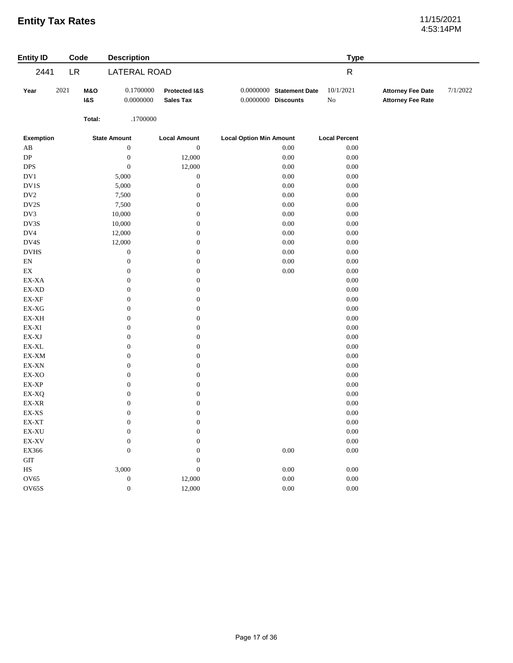# 4:53:14PM

| <b>Entity ID</b>                          |           | Code                  | <b>Description</b>     |                                   |                                                   | <b>Type</b>          |                                                      |          |
|-------------------------------------------|-----------|-----------------------|------------------------|-----------------------------------|---------------------------------------------------|----------------------|------------------------------------------------------|----------|
| 2441                                      | <b>LR</b> |                       | LATERAL ROAD           |                                   |                                                   | $\mathsf{R}$         |                                                      |          |
| Year                                      | 2021      | M&O<br><b>1&amp;S</b> | 0.1700000<br>0.0000000 | Protected I&S<br><b>Sales Tax</b> | 0.0000000 Statement Date<br>$0.0000000$ Discounts | 10/1/2021<br>No      | <b>Attorney Fee Date</b><br><b>Attorney Fee Rate</b> | 7/1/2022 |
|                                           |           | Total:                | .1700000               |                                   |                                                   |                      |                                                      |          |
| <b>Exemption</b>                          |           |                       | <b>State Amount</b>    | <b>Local Amount</b>               | <b>Local Option Min Amount</b>                    | <b>Local Percent</b> |                                                      |          |
| $\mathbf{A}\mathbf{B}$                    |           |                       | $\boldsymbol{0}$       | $\boldsymbol{0}$                  | 0.00                                              | $0.00\,$             |                                                      |          |
| ${\rm DP}$                                |           |                       | $\boldsymbol{0}$       | 12,000                            | 0.00                                              | $0.00\,$             |                                                      |          |
| $\ensuremath{\mathsf{DPS}}$               |           |                       | $\boldsymbol{0}$       | 12,000                            | 0.00                                              | $0.00\,$             |                                                      |          |
| DV1                                       |           |                       | 5,000                  | $\boldsymbol{0}$                  | 0.00                                              | $0.00\,$             |                                                      |          |
| $\rm DV1S$                                |           |                       | 5,000                  | $\boldsymbol{0}$                  | 0.00                                              | $0.00\,$             |                                                      |          |
| $\rm DV2$                                 |           |                       | 7,500                  | $\boldsymbol{0}$                  | 0.00                                              | $0.00\,$             |                                                      |          |
| $\mathbf{D} \mathbf{V} \mathbf{2S}$       |           |                       | 7,500                  | $\boldsymbol{0}$                  | 0.00                                              | $0.00\,$             |                                                      |          |
| DV3                                       |           |                       | 10,000                 | $\boldsymbol{0}$                  | 0.00                                              | $0.00\,$             |                                                      |          |
| DV3S                                      |           |                       | 10,000                 | $\boldsymbol{0}$                  | 0.00                                              | 0.00                 |                                                      |          |
| DV4                                       |           |                       | 12,000                 | $\boldsymbol{0}$                  | 0.00                                              | $0.00\,$             |                                                      |          |
| DV4S                                      |           |                       | 12,000                 | $\boldsymbol{0}$                  | 0.00                                              | 0.00                 |                                                      |          |
| <b>DVHS</b>                               |           |                       | $\boldsymbol{0}$       | $\boldsymbol{0}$                  | 0.00                                              | $0.00\,$             |                                                      |          |
| $\mathop{\rm EN}\nolimits$                |           |                       | $\boldsymbol{0}$       | $\boldsymbol{0}$                  | 0.00                                              | 0.00                 |                                                      |          |
| $\mathop{\rm EX}\nolimits$                |           |                       | $\boldsymbol{0}$       | $\boldsymbol{0}$                  | 0.00                                              | $0.00\,$             |                                                      |          |
| EX-XA                                     |           |                       | $\boldsymbol{0}$       | $\boldsymbol{0}$                  |                                                   | 0.00                 |                                                      |          |
| $\mathbf{EX}\text{-}\mathbf{X}\mathbf{D}$ |           |                       | $\boldsymbol{0}$       | $\boldsymbol{0}$                  |                                                   | $0.00\,$             |                                                      |          |
| $\mathbf{EX}\text{-}\mathbf{XF}$          |           |                       | $\boldsymbol{0}$       | $\boldsymbol{0}$                  |                                                   | $0.00\,$             |                                                      |          |
| $\mathbf{EX}\text{-}\mathbf{X}\mathbf{G}$ |           |                       | $\boldsymbol{0}$       | $\boldsymbol{0}$                  |                                                   | $0.00\,$             |                                                      |          |
| EX-XH                                     |           |                       | $\boldsymbol{0}$       | $\boldsymbol{0}$                  |                                                   | $0.00\,$             |                                                      |          |
| $\mathbf{EX}\text{-}\mathbf{XI}$          |           |                       | $\boldsymbol{0}$       | $\boldsymbol{0}$                  |                                                   | $0.00\,$             |                                                      |          |
| $\mathbf{EX}\text{-}\mathbf{X}\mathbf{J}$ |           |                       | $\boldsymbol{0}$       | $\boldsymbol{0}$                  |                                                   | $0.00\,$             |                                                      |          |
| $\mathsf{EX}\text{-}\mathsf{XL}$          |           |                       | $\boldsymbol{0}$       | $\boldsymbol{0}$                  |                                                   | $0.00\,$             |                                                      |          |
| $\mathbf{EX}\text{-}\mathbf{XM}$          |           |                       | $\boldsymbol{0}$       | $\boldsymbol{0}$                  |                                                   | $0.00\,$             |                                                      |          |
| EX-XN                                     |           |                       | $\boldsymbol{0}$       | $\boldsymbol{0}$                  |                                                   | $0.00\,$             |                                                      |          |
| $\ensuremath{\text{EX-XO}}$               |           |                       | $\boldsymbol{0}$       | $\boldsymbol{0}$                  |                                                   | $0.00\,$             |                                                      |          |
| EX-XP                                     |           |                       | $\boldsymbol{0}$       | $\boldsymbol{0}$                  |                                                   | $0.00\,$             |                                                      |          |
| EX-XQ                                     |           |                       | $\boldsymbol{0}$       | $\boldsymbol{0}$                  |                                                   | $0.00\,$             |                                                      |          |
| $\mathbf{EX}\text{-}\mathbf{XR}$          |           |                       | $\boldsymbol{0}$       | $\boldsymbol{0}$                  |                                                   | $0.00\,$             |                                                      |          |
| EX-XS                                     |           |                       | $\boldsymbol{0}$       | $\boldsymbol{0}$                  |                                                   | $0.00\,$             |                                                      |          |
| EX-XT                                     |           |                       | $\boldsymbol{0}$       | $\boldsymbol{0}$                  |                                                   | $0.00\,$             |                                                      |          |
| $\mathbf{EX}\text{-}\mathbf{X}\mathbf{U}$ |           |                       | $\boldsymbol{0}$       | $\boldsymbol{0}$                  |                                                   | $0.00\,$             |                                                      |          |
| EX-XV                                     |           |                       | $\boldsymbol{0}$       | $\boldsymbol{0}$                  |                                                   | $0.00\,$             |                                                      |          |
| EX366                                     |           |                       | $\boldsymbol{0}$       | $\mathbf{0}$                      | 0.00                                              | $0.00\,$             |                                                      |          |
| $\operatorname{GIT}$                      |           |                       |                        | $\boldsymbol{0}$                  |                                                   |                      |                                                      |          |
| $\rm HS$                                  |           |                       | 3,000                  | $\boldsymbol{0}$                  | 0.00                                              | $0.00\,$             |                                                      |          |
| <b>OV65</b>                               |           |                       | $\boldsymbol{0}$       | 12,000                            | 0.00                                              | $0.00\,$             |                                                      |          |
| OV65S                                     |           |                       | $\boldsymbol{0}$       | 12,000                            | 0.00                                              | $0.00\,$             |                                                      |          |
|                                           |           |                       |                        |                                   |                                                   |                      |                                                      |          |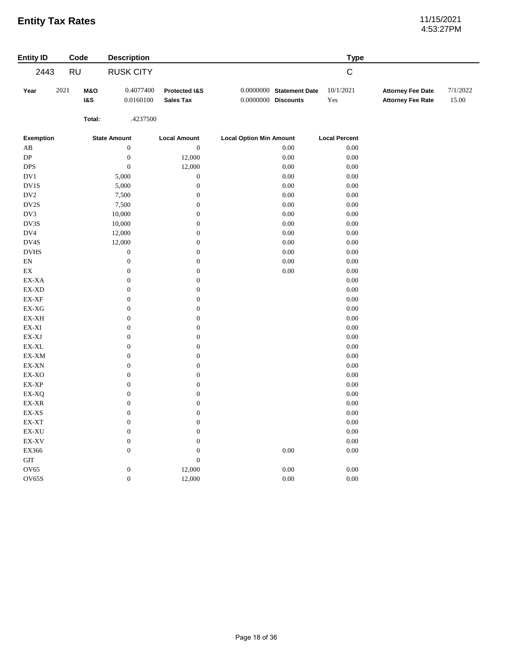# 4:53:27PM

| <b>Entity ID</b>                                                                 |      | Code           | <b>Description</b>  |                     |                                | <b>Type</b>          |                          |          |
|----------------------------------------------------------------------------------|------|----------------|---------------------|---------------------|--------------------------------|----------------------|--------------------------|----------|
| 2443                                                                             |      | <b>RU</b>      | <b>RUSK CITY</b>    |                     |                                | $\mathsf C$          |                          |          |
| Year                                                                             | 2021 | <b>M&amp;O</b> | 0.4077400           | Protected I&S       | 0.0000000 Statement Date       | 10/1/2021            | <b>Attorney Fee Date</b> | 7/1/2022 |
|                                                                                  |      | <b>1&amp;S</b> | 0.0160100           | <b>Sales Tax</b>    | $0.0000000$ Discounts          | Yes                  | <b>Attorney Fee Rate</b> | 15.00    |
|                                                                                  |      | Total:         | .4237500            |                     |                                |                      |                          |          |
| <b>Exemption</b>                                                                 |      |                | <b>State Amount</b> | <b>Local Amount</b> | <b>Local Option Min Amount</b> | <b>Local Percent</b> |                          |          |
| AB                                                                               |      |                | $\boldsymbol{0}$    | $\boldsymbol{0}$    | 0.00                           | $0.00\,$             |                          |          |
| ${\rm DP}$                                                                       |      |                | $\boldsymbol{0}$    | 12,000              | $0.00\,$                       | 0.00                 |                          |          |
| <b>DPS</b>                                                                       |      |                | $\boldsymbol{0}$    | 12,000              | $0.00\,$                       | $0.00\,$             |                          |          |
| DV1                                                                              |      |                | 5,000               | $\boldsymbol{0}$    | 0.00                           | 0.00                 |                          |          |
| DV1S                                                                             |      |                | 5,000               | $\boldsymbol{0}$    | $0.00\,$                       | $0.00\,$             |                          |          |
| DV <sub>2</sub>                                                                  |      |                | 7,500               | $\boldsymbol{0}$    | 0.00                           | 0.00                 |                          |          |
| DV2S                                                                             |      |                | 7,500               | $\boldsymbol{0}$    | $0.00\,$                       | $0.00\,$             |                          |          |
| DV3                                                                              |      |                | 10,000              | $\boldsymbol{0}$    | 0.00                           | 0.00                 |                          |          |
| DV3S                                                                             |      |                | 10,000              | $\boldsymbol{0}$    | $0.00\,$                       | $0.00\,$             |                          |          |
| DV4                                                                              |      |                | 12,000              | $\boldsymbol{0}$    | $0.00\,$                       | 0.00                 |                          |          |
| DV4S                                                                             |      |                | 12,000              | $\boldsymbol{0}$    | $0.00\,$                       | $0.00\,$             |                          |          |
| $_{\mathrm{DVHS}}$                                                               |      |                | $\boldsymbol{0}$    | $\boldsymbol{0}$    | $0.00\,$                       | 0.00                 |                          |          |
| $\mathop{\rm EN}\nolimits$                                                       |      |                | $\boldsymbol{0}$    | $\boldsymbol{0}$    | 0.00                           | 0.00                 |                          |          |
| $\mathop{\rm EX}\nolimits$                                                       |      |                | $\boldsymbol{0}$    | $\boldsymbol{0}$    | $0.00\,$                       | 0.00                 |                          |          |
| EX-XA                                                                            |      |                | $\boldsymbol{0}$    | $\boldsymbol{0}$    |                                | 0.00                 |                          |          |
| $\mathop{\rm EX}\nolimits\text{-}\mathop{\rm X}\nolimits\mathop{\rm D}\nolimits$ |      |                | $\boldsymbol{0}$    | $\boldsymbol{0}$    |                                | 0.00                 |                          |          |
| $\mathbf{EX}\text{-}\mathbf{XF}$                                                 |      |                | $\boldsymbol{0}$    | $\boldsymbol{0}$    |                                | 0.00                 |                          |          |
| $EX-XG$                                                                          |      |                | $\boldsymbol{0}$    | $\boldsymbol{0}$    |                                | 0.00                 |                          |          |
| $\mathbf{EX}\text{-}\mathbf{X}\mathbf{H}$                                        |      |                | $\boldsymbol{0}$    | $\boldsymbol{0}$    |                                | 0.00                 |                          |          |
| $\mathbf{EX}\text{-}\mathbf{XI}$                                                 |      |                | $\boldsymbol{0}$    | $\boldsymbol{0}$    |                                | 0.00                 |                          |          |
| $\mathbf{EX}\text{-}\mathbf{X}\mathbf{J}$                                        |      |                | $\boldsymbol{0}$    | $\boldsymbol{0}$    |                                | 0.00                 |                          |          |
| $\mathsf{EX}\text{-}\mathsf{XL}$                                                 |      |                | $\boldsymbol{0}$    | $\boldsymbol{0}$    |                                | 0.00                 |                          |          |
| EX-XM                                                                            |      |                | $\boldsymbol{0}$    | $\boldsymbol{0}$    |                                | 0.00                 |                          |          |
| EX-XN                                                                            |      |                | $\boldsymbol{0}$    | $\boldsymbol{0}$    |                                | 0.00                 |                          |          |
| EX-XO                                                                            |      |                | $\boldsymbol{0}$    | $\boldsymbol{0}$    |                                | 0.00                 |                          |          |
| EX-XP                                                                            |      |                | $\boldsymbol{0}$    | $\boldsymbol{0}$    |                                | 0.00                 |                          |          |
| EX-XQ                                                                            |      |                | $\boldsymbol{0}$    | $\boldsymbol{0}$    |                                | 0.00                 |                          |          |
| EX-XR                                                                            |      |                | $\boldsymbol{0}$    | $\boldsymbol{0}$    |                                | 0.00                 |                          |          |
| $\mathbf{EX}\text{-}\mathbf{XS}$                                                 |      |                | $\boldsymbol{0}$    | $\boldsymbol{0}$    |                                | 0.00                 |                          |          |
| EX-XT                                                                            |      |                | $\boldsymbol{0}$    | $\boldsymbol{0}$    |                                | 0.00                 |                          |          |
| EX-XU                                                                            |      |                | $\boldsymbol{0}$    | $\boldsymbol{0}$    |                                | 0.00                 |                          |          |
| EX-XV                                                                            |      |                | $\boldsymbol{0}$    | $\boldsymbol{0}$    |                                | $0.00\,$             |                          |          |
| EX366                                                                            |      |                | $\boldsymbol{0}$    | $\boldsymbol{0}$    | $0.00\,$                       | 0.00                 |                          |          |
| <b>GIT</b>                                                                       |      |                |                     | $\boldsymbol{0}$    |                                |                      |                          |          |
| OV65                                                                             |      |                | $\boldsymbol{0}$    | 12,000              | 0.00                           | 0.00                 |                          |          |
| OV65S                                                                            |      |                | $\boldsymbol{0}$    | 12,000              | $0.00\,$                       | 0.00                 |                          |          |
|                                                                                  |      |                |                     |                     |                                |                      |                          |          |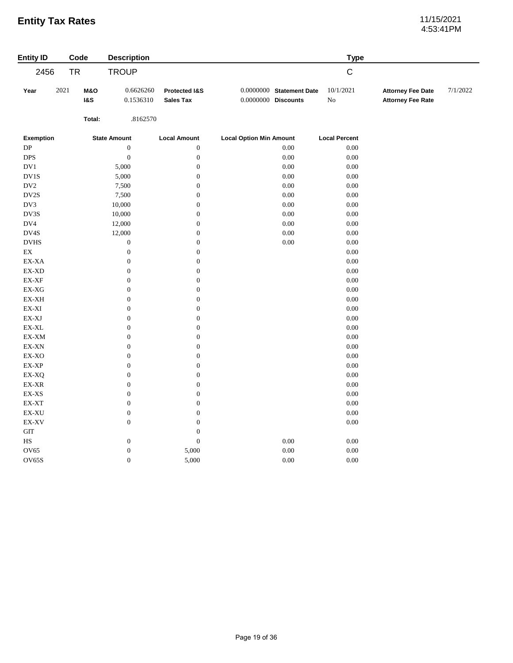# 4:53:41PM

| $\mathsf C$<br>2456<br><b>TR</b><br><b>TROUP</b><br>2021<br>10/1/2021<br>M&O<br>0.6626260<br>0.0000000 Statement Date<br>7/1/2022<br>Year<br>Protected I&S<br><b>Attorney Fee Date</b><br>$0.0000000$ Discounts<br>${\rm No}$<br><b>1&amp;S</b><br>0.1536310<br><b>Sales Tax</b><br><b>Attorney Fee Rate</b><br>Total:<br>.8162570<br><b>Exemption</b><br><b>State Amount</b><br><b>Local Amount</b><br><b>Local Option Min Amount</b><br><b>Local Percent</b><br>DP<br>$\boldsymbol{0}$<br>$\boldsymbol{0}$<br>0.00<br>0.00<br>$\boldsymbol{0}$<br>$\boldsymbol{0}$<br><b>DPS</b><br>0.00<br>0.00<br>$\rm DV1$<br>$\boldsymbol{0}$<br>$0.00\,$<br>$0.00\,$<br>5,000<br>$\rm DV1S$<br>$\boldsymbol{0}$<br>$0.00\,$<br>0.00<br>5,000<br>$\rm DV2$<br>$\boldsymbol{0}$<br>$0.00\,$<br>$0.00\,$<br>7,500<br>$\mathbf{D} \mathbf{V} \mathbf{2S}$<br>$\boldsymbol{0}$<br>$0.00\,$<br>$0.00\,$<br>7,500<br>DV3<br>$\boldsymbol{0}$<br>$0.00\,$<br>$0.00\,$<br>10,000<br>$\mathbf{D}\mathbf{V}3\mathbf{S}$<br>$\boldsymbol{0}$<br>$0.00\,$<br>$0.00\,$<br>10,000<br>$\rm DV4$<br>$\boldsymbol{0}$<br>$0.00\,$<br>0.00<br>12,000<br>$\mathbf{D V4S}$<br>$\boldsymbol{0}$<br>$0.00\,$<br>$0.00\,$<br>12,000<br>$_{\mathrm{DVHS}}$<br>$\boldsymbol{0}$<br>$0.00\,$<br>$0.00\,$<br>$\boldsymbol{0}$<br>$\mathop{\rm EX}\nolimits$<br>$\boldsymbol{0}$<br>$\boldsymbol{0}$<br>$0.00\,$<br>EX-XA<br>$\boldsymbol{0}$<br>$\boldsymbol{0}$<br>$0.00\,$<br>EX-XD<br>$\boldsymbol{0}$<br>$\boldsymbol{0}$<br>$0.00\,$<br>$\boldsymbol{0}$<br>$\boldsymbol{0}$<br>$0.00\,$<br>$\mathbf{EX}\text{-}\mathbf{XF}$ | <b>Entity ID</b> | Code | <b>Description</b> |  | <b>Type</b> |  |
|----------------------------------------------------------------------------------------------------------------------------------------------------------------------------------------------------------------------------------------------------------------------------------------------------------------------------------------------------------------------------------------------------------------------------------------------------------------------------------------------------------------------------------------------------------------------------------------------------------------------------------------------------------------------------------------------------------------------------------------------------------------------------------------------------------------------------------------------------------------------------------------------------------------------------------------------------------------------------------------------------------------------------------------------------------------------------------------------------------------------------------------------------------------------------------------------------------------------------------------------------------------------------------------------------------------------------------------------------------------------------------------------------------------------------------------------------------------------------------------------------------------------------------------------------------------------------------------------|------------------|------|--------------------|--|-------------|--|
|                                                                                                                                                                                                                                                                                                                                                                                                                                                                                                                                                                                                                                                                                                                                                                                                                                                                                                                                                                                                                                                                                                                                                                                                                                                                                                                                                                                                                                                                                                                                                                                              |                  |      |                    |  |             |  |
|                                                                                                                                                                                                                                                                                                                                                                                                                                                                                                                                                                                                                                                                                                                                                                                                                                                                                                                                                                                                                                                                                                                                                                                                                                                                                                                                                                                                                                                                                                                                                                                              |                  |      |                    |  |             |  |
|                                                                                                                                                                                                                                                                                                                                                                                                                                                                                                                                                                                                                                                                                                                                                                                                                                                                                                                                                                                                                                                                                                                                                                                                                                                                                                                                                                                                                                                                                                                                                                                              |                  |      |                    |  |             |  |
|                                                                                                                                                                                                                                                                                                                                                                                                                                                                                                                                                                                                                                                                                                                                                                                                                                                                                                                                                                                                                                                                                                                                                                                                                                                                                                                                                                                                                                                                                                                                                                                              |                  |      |                    |  |             |  |
|                                                                                                                                                                                                                                                                                                                                                                                                                                                                                                                                                                                                                                                                                                                                                                                                                                                                                                                                                                                                                                                                                                                                                                                                                                                                                                                                                                                                                                                                                                                                                                                              |                  |      |                    |  |             |  |
|                                                                                                                                                                                                                                                                                                                                                                                                                                                                                                                                                                                                                                                                                                                                                                                                                                                                                                                                                                                                                                                                                                                                                                                                                                                                                                                                                                                                                                                                                                                                                                                              |                  |      |                    |  |             |  |
|                                                                                                                                                                                                                                                                                                                                                                                                                                                                                                                                                                                                                                                                                                                                                                                                                                                                                                                                                                                                                                                                                                                                                                                                                                                                                                                                                                                                                                                                                                                                                                                              |                  |      |                    |  |             |  |
|                                                                                                                                                                                                                                                                                                                                                                                                                                                                                                                                                                                                                                                                                                                                                                                                                                                                                                                                                                                                                                                                                                                                                                                                                                                                                                                                                                                                                                                                                                                                                                                              |                  |      |                    |  |             |  |
|                                                                                                                                                                                                                                                                                                                                                                                                                                                                                                                                                                                                                                                                                                                                                                                                                                                                                                                                                                                                                                                                                                                                                                                                                                                                                                                                                                                                                                                                                                                                                                                              |                  |      |                    |  |             |  |
|                                                                                                                                                                                                                                                                                                                                                                                                                                                                                                                                                                                                                                                                                                                                                                                                                                                                                                                                                                                                                                                                                                                                                                                                                                                                                                                                                                                                                                                                                                                                                                                              |                  |      |                    |  |             |  |
|                                                                                                                                                                                                                                                                                                                                                                                                                                                                                                                                                                                                                                                                                                                                                                                                                                                                                                                                                                                                                                                                                                                                                                                                                                                                                                                                                                                                                                                                                                                                                                                              |                  |      |                    |  |             |  |
|                                                                                                                                                                                                                                                                                                                                                                                                                                                                                                                                                                                                                                                                                                                                                                                                                                                                                                                                                                                                                                                                                                                                                                                                                                                                                                                                                                                                                                                                                                                                                                                              |                  |      |                    |  |             |  |
|                                                                                                                                                                                                                                                                                                                                                                                                                                                                                                                                                                                                                                                                                                                                                                                                                                                                                                                                                                                                                                                                                                                                                                                                                                                                                                                                                                                                                                                                                                                                                                                              |                  |      |                    |  |             |  |
|                                                                                                                                                                                                                                                                                                                                                                                                                                                                                                                                                                                                                                                                                                                                                                                                                                                                                                                                                                                                                                                                                                                                                                                                                                                                                                                                                                                                                                                                                                                                                                                              |                  |      |                    |  |             |  |
|                                                                                                                                                                                                                                                                                                                                                                                                                                                                                                                                                                                                                                                                                                                                                                                                                                                                                                                                                                                                                                                                                                                                                                                                                                                                                                                                                                                                                                                                                                                                                                                              |                  |      |                    |  |             |  |
|                                                                                                                                                                                                                                                                                                                                                                                                                                                                                                                                                                                                                                                                                                                                                                                                                                                                                                                                                                                                                                                                                                                                                                                                                                                                                                                                                                                                                                                                                                                                                                                              |                  |      |                    |  |             |  |
|                                                                                                                                                                                                                                                                                                                                                                                                                                                                                                                                                                                                                                                                                                                                                                                                                                                                                                                                                                                                                                                                                                                                                                                                                                                                                                                                                                                                                                                                                                                                                                                              |                  |      |                    |  |             |  |
|                                                                                                                                                                                                                                                                                                                                                                                                                                                                                                                                                                                                                                                                                                                                                                                                                                                                                                                                                                                                                                                                                                                                                                                                                                                                                                                                                                                                                                                                                                                                                                                              |                  |      |                    |  |             |  |
|                                                                                                                                                                                                                                                                                                                                                                                                                                                                                                                                                                                                                                                                                                                                                                                                                                                                                                                                                                                                                                                                                                                                                                                                                                                                                                                                                                                                                                                                                                                                                                                              |                  |      |                    |  |             |  |
| $\boldsymbol{0}$<br>$\boldsymbol{0}$<br>$0.00\,$<br>EX-XG                                                                                                                                                                                                                                                                                                                                                                                                                                                                                                                                                                                                                                                                                                                                                                                                                                                                                                                                                                                                                                                                                                                                                                                                                                                                                                                                                                                                                                                                                                                                    |                  |      |                    |  |             |  |
| $\boldsymbol{0}$<br>$\boldsymbol{0}$<br>$0.00\,$<br>EX-XH                                                                                                                                                                                                                                                                                                                                                                                                                                                                                                                                                                                                                                                                                                                                                                                                                                                                                                                                                                                                                                                                                                                                                                                                                                                                                                                                                                                                                                                                                                                                    |                  |      |                    |  |             |  |
| $\mathbf{EX}\text{-}\mathbf{XI}$<br>$\boldsymbol{0}$<br>$\boldsymbol{0}$<br>0.00                                                                                                                                                                                                                                                                                                                                                                                                                                                                                                                                                                                                                                                                                                                                                                                                                                                                                                                                                                                                                                                                                                                                                                                                                                                                                                                                                                                                                                                                                                             |                  |      |                    |  |             |  |
| $\mathbf{EX}\text{-}\mathbf{X}\mathbf{J}$<br>$\boldsymbol{0}$<br>$\boldsymbol{0}$<br>$0.00\,$                                                                                                                                                                                                                                                                                                                                                                                                                                                                                                                                                                                                                                                                                                                                                                                                                                                                                                                                                                                                                                                                                                                                                                                                                                                                                                                                                                                                                                                                                                |                  |      |                    |  |             |  |
| $\boldsymbol{0}$<br>$\boldsymbol{0}$<br>EX-XL<br>0.00                                                                                                                                                                                                                                                                                                                                                                                                                                                                                                                                                                                                                                                                                                                                                                                                                                                                                                                                                                                                                                                                                                                                                                                                                                                                                                                                                                                                                                                                                                                                        |                  |      |                    |  |             |  |
| $\boldsymbol{0}$<br>$\boldsymbol{0}$<br>$\mathbf{EX}\text{-}\mathbf{XM}$<br>0.00                                                                                                                                                                                                                                                                                                                                                                                                                                                                                                                                                                                                                                                                                                                                                                                                                                                                                                                                                                                                                                                                                                                                                                                                                                                                                                                                                                                                                                                                                                             |                  |      |                    |  |             |  |
| $\boldsymbol{0}$<br>$\boldsymbol{0}$<br>0.00<br>$\mathsf{EX}\text{-}\mathsf{X}\mathsf{N}$                                                                                                                                                                                                                                                                                                                                                                                                                                                                                                                                                                                                                                                                                                                                                                                                                                                                                                                                                                                                                                                                                                                                                                                                                                                                                                                                                                                                                                                                                                    |                  |      |                    |  |             |  |
| $\boldsymbol{0}$<br>$\boldsymbol{0}$<br>$0.00\,$<br>$\ensuremath{\text{EX-XO}}$                                                                                                                                                                                                                                                                                                                                                                                                                                                                                                                                                                                                                                                                                                                                                                                                                                                                                                                                                                                                                                                                                                                                                                                                                                                                                                                                                                                                                                                                                                              |                  |      |                    |  |             |  |
| $\mathbf{EX}\text{-}\mathbf{XP}$<br>$\boldsymbol{0}$<br>$\boldsymbol{0}$<br>$0.00\,$                                                                                                                                                                                                                                                                                                                                                                                                                                                                                                                                                                                                                                                                                                                                                                                                                                                                                                                                                                                                                                                                                                                                                                                                                                                                                                                                                                                                                                                                                                         |                  |      |                    |  |             |  |
| $\boldsymbol{0}$<br>$0.00\,$<br>EX-XQ<br>$\boldsymbol{0}$                                                                                                                                                                                                                                                                                                                                                                                                                                                                                                                                                                                                                                                                                                                                                                                                                                                                                                                                                                                                                                                                                                                                                                                                                                                                                                                                                                                                                                                                                                                                    |                  |      |                    |  |             |  |
| $\boldsymbol{0}$<br>$\boldsymbol{0}$<br>$\mathop{\rm EX}\nolimits\text{-}\mathop{\rm XR}\nolimits$<br>$0.00\,$                                                                                                                                                                                                                                                                                                                                                                                                                                                                                                                                                                                                                                                                                                                                                                                                                                                                                                                                                                                                                                                                                                                                                                                                                                                                                                                                                                                                                                                                               |                  |      |                    |  |             |  |
| $\boldsymbol{0}$<br>$\boldsymbol{0}$<br>$\mathbf{EX}\text{-}\mathbf{XS}$<br>0.00                                                                                                                                                                                                                                                                                                                                                                                                                                                                                                                                                                                                                                                                                                                                                                                                                                                                                                                                                                                                                                                                                                                                                                                                                                                                                                                                                                                                                                                                                                             |                  |      |                    |  |             |  |
| $\boldsymbol{0}$<br>$0.00\,$<br>$\mathsf{EX}\text{-}\mathsf{XT}$<br>$\boldsymbol{0}$                                                                                                                                                                                                                                                                                                                                                                                                                                                                                                                                                                                                                                                                                                                                                                                                                                                                                                                                                                                                                                                                                                                                                                                                                                                                                                                                                                                                                                                                                                         |                  |      |                    |  |             |  |
| $\boldsymbol{0}$<br>$\mathbf{EX}\text{-}\mathbf{X}\mathbf{U}$<br>$\boldsymbol{0}$<br>0.00                                                                                                                                                                                                                                                                                                                                                                                                                                                                                                                                                                                                                                                                                                                                                                                                                                                                                                                                                                                                                                                                                                                                                                                                                                                                                                                                                                                                                                                                                                    |                  |      |                    |  |             |  |
| $\boldsymbol{0}$<br>$\boldsymbol{0}$<br>$0.00\,$<br>EX-XV                                                                                                                                                                                                                                                                                                                                                                                                                                                                                                                                                                                                                                                                                                                                                                                                                                                                                                                                                                                                                                                                                                                                                                                                                                                                                                                                                                                                                                                                                                                                    |                  |      |                    |  |             |  |
| $\operatorname{GIT}$<br>$\boldsymbol{0}$                                                                                                                                                                                                                                                                                                                                                                                                                                                                                                                                                                                                                                                                                                                                                                                                                                                                                                                                                                                                                                                                                                                                                                                                                                                                                                                                                                                                                                                                                                                                                     |                  |      |                    |  |             |  |
| $\boldsymbol{0}$<br>$\boldsymbol{0}$<br>0.00<br>$_{\rm HS}$<br>$0.00\,$                                                                                                                                                                                                                                                                                                                                                                                                                                                                                                                                                                                                                                                                                                                                                                                                                                                                                                                                                                                                                                                                                                                                                                                                                                                                                                                                                                                                                                                                                                                      |                  |      |                    |  |             |  |
| OV65<br>$\boldsymbol{0}$<br>$0.00\,$<br>$0.00\,$<br>5,000                                                                                                                                                                                                                                                                                                                                                                                                                                                                                                                                                                                                                                                                                                                                                                                                                                                                                                                                                                                                                                                                                                                                                                                                                                                                                                                                                                                                                                                                                                                                    |                  |      |                    |  |             |  |
| OV65S<br>$\boldsymbol{0}$<br>5,000<br>0.00<br>0.00                                                                                                                                                                                                                                                                                                                                                                                                                                                                                                                                                                                                                                                                                                                                                                                                                                                                                                                                                                                                                                                                                                                                                                                                                                                                                                                                                                                                                                                                                                                                           |                  |      |                    |  |             |  |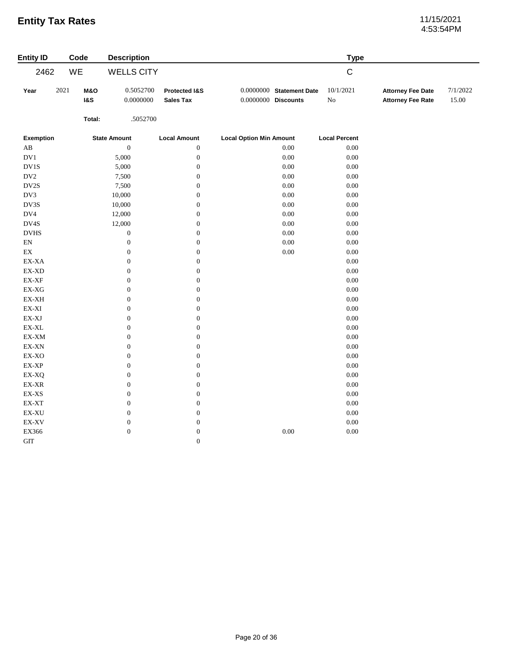# 4:53:54PM

| <b>Entity ID</b>                                                     | Code                                     | <b>Description</b>     |                                   |                                                     | <b>Type</b>             |                                                      |                   |
|----------------------------------------------------------------------|------------------------------------------|------------------------|-----------------------------------|-----------------------------------------------------|-------------------------|------------------------------------------------------|-------------------|
| 2462                                                                 | WE                                       | <b>WELLS CITY</b>      |                                   |                                                     | $\mathsf C$             |                                                      |                   |
| Year                                                                 | 2021<br><b>M&amp;O</b><br><b>1&amp;S</b> | 0.5052700<br>0.0000000 | Protected I&S<br><b>Sales Tax</b> | $0.0000000$ Statement Date<br>$0.0000000$ Discounts | 10/1/2021<br>${\rm No}$ | <b>Attorney Fee Date</b><br><b>Attorney Fee Rate</b> | 7/1/2022<br>15.00 |
|                                                                      | Total:                                   | .5052700               |                                   |                                                     |                         |                                                      |                   |
| <b>Exemption</b>                                                     |                                          | <b>State Amount</b>    | <b>Local Amount</b>               | <b>Local Option Min Amount</b>                      | <b>Local Percent</b>    |                                                      |                   |
| AB                                                                   |                                          | $\boldsymbol{0}$       | $\boldsymbol{0}$                  | 0.00                                                | 0.00                    |                                                      |                   |
| DV1                                                                  |                                          | 5,000                  | $\boldsymbol{0}$                  | 0.00                                                | $0.00\,$                |                                                      |                   |
| DV1S                                                                 |                                          | 5,000                  | $\boldsymbol{0}$                  | 0.00                                                | $0.00\,$                |                                                      |                   |
| $\rm DV2$                                                            |                                          | 7,500                  | $\boldsymbol{0}$                  | $0.00\,$                                            | $0.00\,$                |                                                      |                   |
| DV2S                                                                 |                                          | 7,500                  | $\boldsymbol{0}$                  | $0.00\,$                                            | $0.00\,$                |                                                      |                   |
| DV3                                                                  |                                          | 10,000                 | $\mathbf{0}$                      | 0.00                                                | 0.00                    |                                                      |                   |
| $\mathbf{D}\mathbf{V}3\mathbf{S}$                                    |                                          | 10,000                 | $\boldsymbol{0}$                  | $0.00\,$                                            | $0.00\,$                |                                                      |                   |
| DV4                                                                  |                                          | 12,000                 | $\boldsymbol{0}$                  | 0.00                                                | $0.00\,$                |                                                      |                   |
| DV4S                                                                 |                                          | 12,000                 | $\boldsymbol{0}$                  | 0.00                                                | $0.00\,$                |                                                      |                   |
| $_{\rm DVHS}$                                                        |                                          | $\boldsymbol{0}$       | $\boldsymbol{0}$                  | $0.00\,$                                            | $0.00\,$                |                                                      |                   |
| $\mathop{\rm EN}\nolimits$                                           |                                          | $\boldsymbol{0}$       | $\boldsymbol{0}$                  | $0.00\,$                                            | $0.00\,$                |                                                      |                   |
| $\mathop{\rm EX}\nolimits$                                           |                                          | $\boldsymbol{0}$       | $\boldsymbol{0}$                  | $0.00\,$                                            | $0.00\,$                |                                                      |                   |
| $\ensuremath{\text{EX}}\xspace\text{-}\ensuremath{\text{XA}}\xspace$ |                                          | $\boldsymbol{0}$       | $\boldsymbol{0}$                  |                                                     | $0.00\,$                |                                                      |                   |
| $EX-XD$                                                              |                                          | $\boldsymbol{0}$       | $\boldsymbol{0}$                  |                                                     | $0.00\,$                |                                                      |                   |
| $\mathbf{EX}\text{-}\mathbf{XF}$                                     |                                          | $\boldsymbol{0}$       | $\boldsymbol{0}$                  |                                                     | 0.00                    |                                                      |                   |
| $EX-XG$                                                              |                                          | $\boldsymbol{0}$       | $\boldsymbol{0}$                  |                                                     | $0.00\,$                |                                                      |                   |
| $\mathbf{EX}\text{-}\mathbf{X}\mathbf{H}$                            |                                          | $\boldsymbol{0}$       | $\boldsymbol{0}$                  |                                                     | $0.00\,$                |                                                      |                   |
| $\mathbf{EX}\text{-}\mathbf{XI}$                                     |                                          | $\boldsymbol{0}$       | $\boldsymbol{0}$                  |                                                     | $0.00\,$                |                                                      |                   |
| $\mathbf{EX}\text{-}\mathbf{XJ}$                                     |                                          | $\boldsymbol{0}$       | $\boldsymbol{0}$                  |                                                     | $0.00\,$                |                                                      |                   |
| $\mathsf{EX}\text{-}\mathsf{XL}$                                     |                                          | $\boldsymbol{0}$       | $\boldsymbol{0}$                  |                                                     | $0.00\,$                |                                                      |                   |
| $\mathbf{EX}\text{-}\mathbf{XM}$                                     |                                          | $\boldsymbol{0}$       | $\boldsymbol{0}$                  |                                                     | $0.00\,$                |                                                      |                   |
| $\mathsf{EX}\text{-}\mathsf{X}\mathsf{N}$                            |                                          | $\boldsymbol{0}$       | $\boldsymbol{0}$                  |                                                     | $0.00\,$                |                                                      |                   |
| EX-XO                                                                |                                          | $\boldsymbol{0}$       | $\boldsymbol{0}$                  |                                                     | $0.00\,$                |                                                      |                   |
| EX-XP                                                                |                                          | $\boldsymbol{0}$       | $\boldsymbol{0}$                  |                                                     | $0.00\,$                |                                                      |                   |
| EX-XQ                                                                |                                          | $\boldsymbol{0}$       | $\boldsymbol{0}$                  |                                                     | $0.00\,$                |                                                      |                   |
| $EX-XR$                                                              |                                          | $\boldsymbol{0}$       | $\boldsymbol{0}$                  |                                                     | 0.00                    |                                                      |                   |
| $\mathbf{EX}\text{-}\mathbf{XS}$                                     |                                          | $\boldsymbol{0}$       | $\boldsymbol{0}$                  |                                                     | $0.00\,$                |                                                      |                   |
| $\mathsf{EX}\text{-}\mathsf{XT}$                                     |                                          | $\boldsymbol{0}$       | $\boldsymbol{0}$                  |                                                     | $0.00\,$                |                                                      |                   |
| $\mathbf{EX}\text{-}\mathbf{X}\mathbf{U}$                            |                                          | $\boldsymbol{0}$       | $\boldsymbol{0}$                  |                                                     | $0.00\,$                |                                                      |                   |
| $\mathbf{EX}\text{-}\mathbf{X}\mathbf{V}$                            |                                          | $\boldsymbol{0}$       | $\boldsymbol{0}$                  |                                                     | 0.00                    |                                                      |                   |
| EX366                                                                |                                          | $\boldsymbol{0}$       | $\boldsymbol{0}$                  | 0.00                                                | 0.00                    |                                                      |                   |
| GIT                                                                  |                                          |                        | $\mathbf{0}$                      |                                                     |                         |                                                      |                   |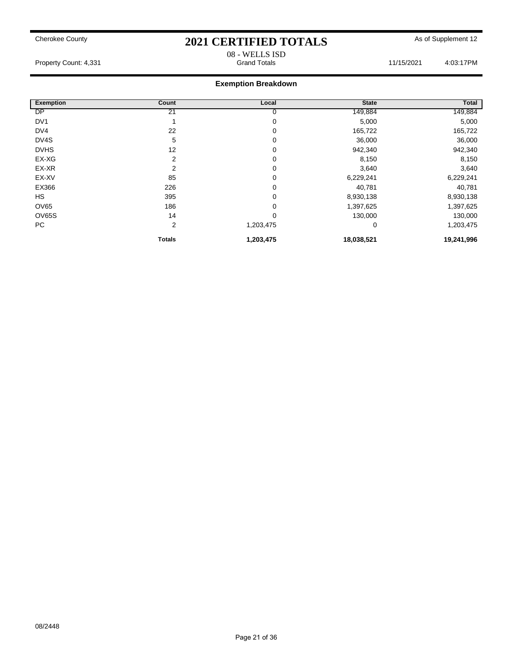### 08 - WELLS ISD Property Count: 4,331 **Accord 21/15/2021** Grand Totals **11/15/2021** 4:03:17PM

|                  |                |           |              | Total      |
|------------------|----------------|-----------|--------------|------------|
| <b>Exemption</b> | Count          | Local     | <b>State</b> |            |
| <b>DP</b>        | 21             | υ         | 149,884      | 149,884    |
| DV <sub>1</sub>  |                | 0         | 5,000        | 5,000      |
| DV <sub>4</sub>  | 22             | 0         | 165,722      | 165,722    |
| DV4S             | 5              | 0         | 36,000       | 36,000     |
| <b>DVHS</b>      | 12             | 0         | 942,340      | 942,340    |
| EX-XG            | 2              | 0         | 8,150        | 8,150      |
| EX-XR            | $\overline{2}$ | 0         | 3,640        | 3,640      |
| EX-XV            | 85             | 0         | 6,229,241    | 6,229,241  |
| EX366            | 226            | 0         | 40,781       | 40,781     |
| HS               | 395            | 0         | 8,930,138    | 8,930,138  |
| OV65             | 186            | 0         | 1,397,625    | 1,397,625  |
| OV65S            | 14             | 0         | 130,000      | 130,000    |
| PC               | $\overline{2}$ | 1,203,475 | 0            | 1,203,475  |
|                  | <b>Totals</b>  | 1,203,475 | 18,038,521   | 19,241,996 |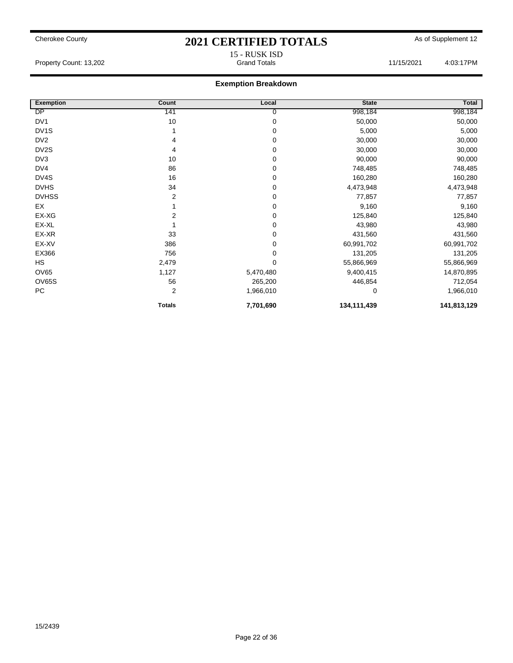15 - RUSK ISD

#### **Exemption Breakdown**

| <b>Exemption</b>  | Count         | Local     | <b>State</b> | <b>Total</b> |
|-------------------|---------------|-----------|--------------|--------------|
| DP                | 141           | 0         | 998,184      | 998,184      |
| DV <sub>1</sub>   | 10            | 0         | 50,000       | 50,000       |
| DV <sub>1</sub> S |               | 0         | 5,000        | 5,000        |
| DV <sub>2</sub>   | 4             | 0         | 30,000       | 30,000       |
| DV2S              | 4             | 0         | 30,000       | 30,000       |
| DV3               | 10            | 0         | 90,000       | 90,000       |
| DV4               | 86            | 0         | 748,485      | 748,485      |
| DV4S              | 16            | 0         | 160,280      | 160,280      |
| <b>DVHS</b>       | 34            | 0         | 4,473,948    | 4,473,948    |
| <b>DVHSS</b>      | 2             | 0         | 77,857       | 77,857       |
| EX                |               | 0         | 9,160        | 9,160        |
| EX-XG             | 2             | 0         | 125,840      | 125,840      |
| EX-XL             |               | 0         | 43,980       | 43,980       |
| EX-XR             | 33            | 0         | 431,560      | 431,560      |
| EX-XV             | 386           | 0         | 60,991,702   | 60,991,702   |
| EX366             | 756           | 0         | 131,205      | 131,205      |
| <b>HS</b>         | 2,479         | 0         | 55,866,969   | 55,866,969   |
| <b>OV65</b>       | 1,127         | 5,470,480 | 9,400,415    | 14,870,895   |
| <b>OV65S</b>      | 56            | 265,200   | 446,854      | 712,054      |
| PC                | 2             | 1,966,010 | 0            | 1,966,010    |
|                   | <b>Totals</b> | 7,701,690 | 134,111,439  | 141,813,129  |

Property Count: 13,202 1203:17PM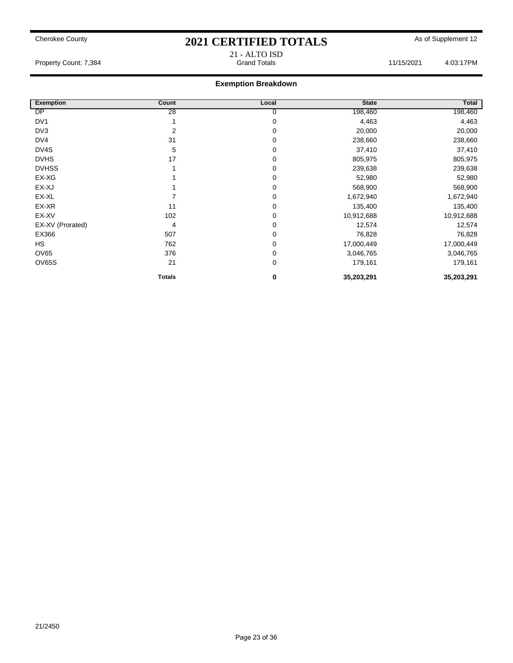## Cherokee County **2021 CERTIFIED TOTALS** As of Supplement 12 21 - ALTO ISD

Property Count: 7,384 **Count: 7,384** Grand Totals **Grand Totals** 11/15/2021 4:03:17PM

| <b>Exemption</b> | Count         | Local          | <b>State</b> | Total      |
|------------------|---------------|----------------|--------------|------------|
| DP               | 28            | $\overline{0}$ | 198,460      | 198,460    |
| DV <sub>1</sub>  |               | $\mathbf 0$    | 4,463        | 4,463      |
| DV3              | 2             | 0              | 20,000       | 20,000     |
| DV4              | 31            | 0              | 238,660      | 238,660    |
| DV4S             | 5             | 0              | 37,410       | 37,410     |
| <b>DVHS</b>      | 17            | 0              | 805,975      | 805,975    |
| <b>DVHSS</b>     |               | 0              | 239,638      | 239,638    |
| EX-XG            |               | 0              | 52,980       | 52,980     |
| EX-XJ            |               | $\Omega$       | 568,900      | 568,900    |
| EX-XL            |               | $\mathbf 0$    | 1,672,940    | 1,672,940  |
| EX-XR            | 11            | 0              | 135,400      | 135,400    |
| EX-XV            | 102           | 0              | 10,912,688   | 10,912,688 |
| EX-XV (Prorated) | 4             | $\mathbf 0$    | 12,574       | 12,574     |
| EX366            | 507           | 0              | 76,828       | 76,828     |
| <b>HS</b>        | 762           | 0              | 17,000,449   | 17,000,449 |
| OV65             | 376           | 0              | 3,046,765    | 3,046,765  |
| OV65S            | 21            | 0              | 179,161      | 179,161    |
|                  | <b>Totals</b> | 0              | 35,203,291   | 35,203,291 |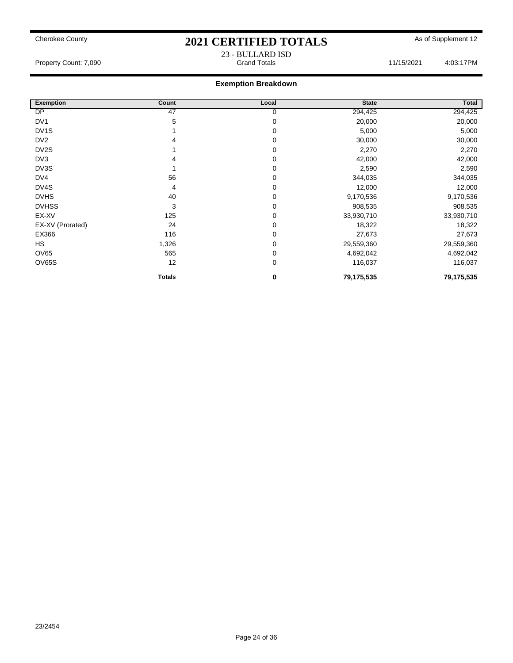### Cherokee County **2021 CERTIFIED TOTALS** As of Supplement 12 23 - BULLARD ISD

Property Count: 7,090 **Accord Totals 11/15/2021** 4:03:17PM

| <b>Exemption</b>  | Count         | Local | <b>State</b> | Total      |
|-------------------|---------------|-------|--------------|------------|
| DP                | 47            | 0     | 294,425      | 294,425    |
| DV <sub>1</sub>   | 5             | 0     | 20,000       | 20,000     |
| DV <sub>1</sub> S |               | 0     | 5,000        | 5,000      |
| DV <sub>2</sub>   |               | 0     | 30,000       | 30,000     |
| DV <sub>2</sub> S |               | 0     | 2,270        | 2,270      |
| DV3               |               | 0     | 42,000       | 42,000     |
| DV3S              |               | 0     | 2,590        | 2,590      |
| DV4               | 56            | 0     | 344,035      | 344,035    |
| DV4S              | 4             | 0     | 12,000       | 12,000     |
| <b>DVHS</b>       | 40            | 0     | 9,170,536    | 9,170,536  |
| <b>DVHSS</b>      | 3             | 0     | 908,535      | 908,535    |
| EX-XV             | 125           | 0     | 33,930,710   | 33,930,710 |
| EX-XV (Prorated)  | 24            | 0     | 18,322       | 18,322     |
| EX366             | 116           | 0     | 27,673       | 27,673     |
| <b>HS</b>         | 1,326         | 0     | 29,559,360   | 29,559,360 |
| OV65              | 565           | 0     | 4,692,042    | 4,692,042  |
| <b>OV65S</b>      | 12            | 0     | 116,037      | 116,037    |
|                   | <b>Totals</b> | 0     | 79,175,535   | 79,175,535 |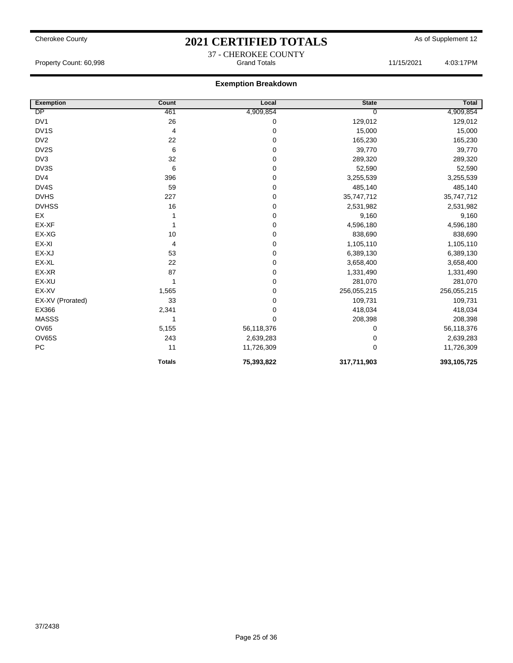### Cherokee County **2021 CERTIFIED TOTALS** As of Supplement 12 37 - CHEROKEE COUNTY

Property Count: 60,998 **Access 11/15/2021** 4:03:17PM

| <b>Exemption</b>  | Count         | Local      | <b>State</b> | Total       |
|-------------------|---------------|------------|--------------|-------------|
| DP                | 461           | 4,909,854  | 0            | 4,909,854   |
| DV1               | 26            | 0          | 129,012      | 129,012     |
| DV <sub>1</sub> S | 4             | 0          | 15,000       | 15,000      |
| DV <sub>2</sub>   | 22            | 0          | 165,230      | 165,230     |
| DV2S              | 6             | 0          | 39,770       | 39,770      |
| DV3               | 32            | 0          | 289,320      | 289,320     |
| DV3S              | 6             | 0          | 52,590       | 52,590      |
| DV4               | 396           | 0          | 3,255,539    | 3,255,539   |
| DV4S              | 59            | 0          | 485,140      | 485,140     |
| <b>DVHS</b>       | 227           | 0          | 35,747,712   | 35,747,712  |
| <b>DVHSS</b>      | 16            | 0          | 2,531,982    | 2,531,982   |
| EX                |               | 0          | 9,160        | 9,160       |
| EX-XF             |               | 0          | 4,596,180    | 4,596,180   |
| EX-XG             | 10            | 0          | 838,690      | 838,690     |
| EX-XI             | 4             | 0          | 1,105,110    | 1,105,110   |
| EX-XJ             | 53            | 0          | 6,389,130    | 6,389,130   |
| EX-XL             | 22            | 0          | 3,658,400    | 3,658,400   |
| EX-XR             | 87            | 0          | 1,331,490    | 1,331,490   |
| EX-XU             | 1             | 0          | 281,070      | 281,070     |
| EX-XV             | 1,565         | 0          | 256,055,215  | 256,055,215 |
| EX-XV (Prorated)  | 33            | 0          | 109,731      | 109,731     |
| EX366             | 2,341         | 0          | 418,034      | 418,034     |
| <b>MASSS</b>      | 1             | 0          | 208,398      | 208,398     |
| <b>OV65</b>       | 5,155         | 56,118,376 | 0            | 56,118,376  |
| <b>OV65S</b>      | 243           | 2,639,283  | 0            | 2,639,283   |
| ${\sf PC}$        | 11            | 11,726,309 | 0            | 11,726,309  |
|                   | <b>Totals</b> | 75,393,822 | 317,711,903  | 393,105,725 |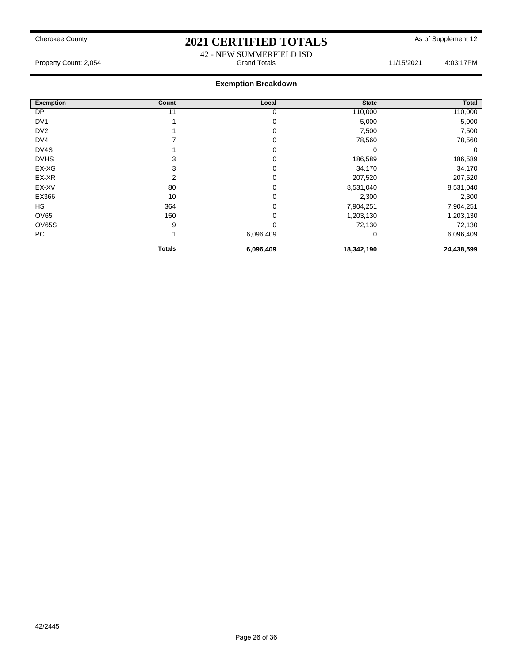42 - NEW SUMMERFIELD ISD Property Count: 2,054 **Access 20:43:17PM** Grand Totals 11/15/2021 4:03:17PM

| <b>Exemption</b> | Count  | Local     | <b>State</b> | Total      |
|------------------|--------|-----------|--------------|------------|
| DP               |        | 0         | 110,000      | 110,000    |
| DV <sub>1</sub>  |        | 0         | 5,000        | 5,000      |
| DV <sub>2</sub>  |        | 0         | 7,500        | 7,500      |
| DV4              |        | 0         | 78,560       | 78,560     |
| DV4S             |        | 0         | 0            | 0          |
| <b>DVHS</b>      | 3      | 0         | 186,589      | 186,589    |
| EX-XG            | 3      | 0         | 34,170       | 34,170     |
| EX-XR            | 2      | 0         | 207,520      | 207,520    |
| EX-XV            | 80     | 0         | 8,531,040    | 8,531,040  |
| EX366            | 10     | 0         | 2,300        | 2,300      |
| <b>HS</b>        | 364    | 0         | 7,904,251    | 7,904,251  |
| <b>OV65</b>      | 150    | 0         | 1,203,130    | 1,203,130  |
| <b>OV65S</b>     | 9      | 0         | 72,130       | 72,130     |
| PC               |        | 6,096,409 | 0            | 6,096,409  |
|                  | Totals | 6,096,409 | 18,342,190   | 24,438,599 |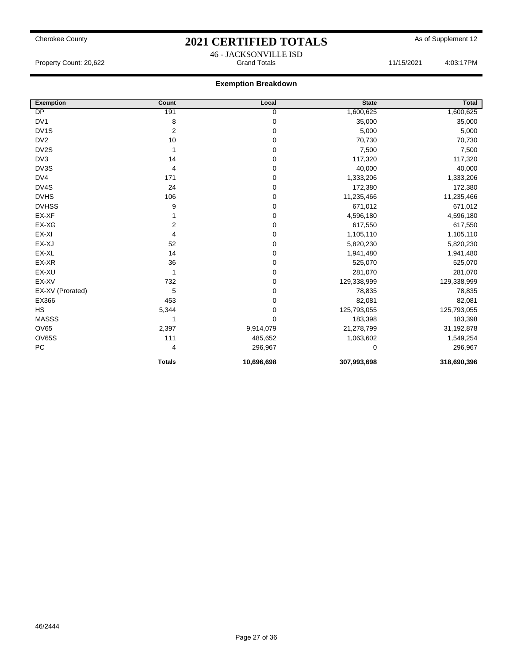### Cherokee County **2021 CERTIFIED TOTALS** As of Supplement 12 46 - JACKSONVILLE ISD

Property Count: 20,622 Grand Totals 11/15/2021 4:03:17PM

| <b>Exemption</b>  | Count          | Local      | <b>State</b> | Total       |
|-------------------|----------------|------------|--------------|-------------|
| DP                | 191            | 0          | 1,600,625    | 1,600,625   |
| DV1               | 8              | 0          | 35,000       | 35,000      |
| DV <sub>1</sub> S | 2              | 0          | 5,000        | 5,000       |
| DV <sub>2</sub>   | 10             | 0          | 70,730       | 70,730      |
| DV2S              |                | 0          | 7,500        | 7,500       |
| DV3               | 14             | 0          | 117,320      | 117,320     |
| DV3S              | $\overline{4}$ | 0          | 40,000       | 40,000      |
| DV4               | 171            | 0          | 1,333,206    | 1,333,206   |
| DV4S              | 24             | 0          | 172,380      | 172,380     |
| <b>DVHS</b>       | 106            | 0          | 11,235,466   | 11,235,466  |
| <b>DVHSS</b>      | 9              | 0          | 671,012      | 671,012     |
| EX-XF             |                | 0          | 4,596,180    | 4,596,180   |
| EX-XG             | 2              | 0          | 617,550      | 617,550     |
| EX-XI             | 4              | 0          | 1,105,110    | 1,105,110   |
| EX-XJ             | 52             | 0          | 5,820,230    | 5,820,230   |
| EX-XL             | 14             | 0          | 1,941,480    | 1,941,480   |
| EX-XR             | 36             | 0          | 525,070      | 525,070     |
| EX-XU             | 1              | 0          | 281,070      | 281,070     |
| EX-XV             | 732            | 0          | 129,338,999  | 129,338,999 |
| EX-XV (Prorated)  | 5              | 0          | 78,835       | 78,835      |
| EX366             | 453            | 0          | 82,081       | 82,081      |
| <b>HS</b>         | 5,344          | 0          | 125,793,055  | 125,793,055 |
| <b>MASSS</b>      | 1              | 0          | 183,398      | 183,398     |
| <b>OV65</b>       | 2,397          | 9,914,079  | 21,278,799   | 31,192,878  |
| <b>OV65S</b>      | 111            | 485,652    | 1,063,602    | 1,549,254   |
| ${\sf PC}$        | 4              | 296,967    | 0            | 296,967     |
|                   | <b>Totals</b>  | 10,696,698 | 307,993,698  | 318,690,396 |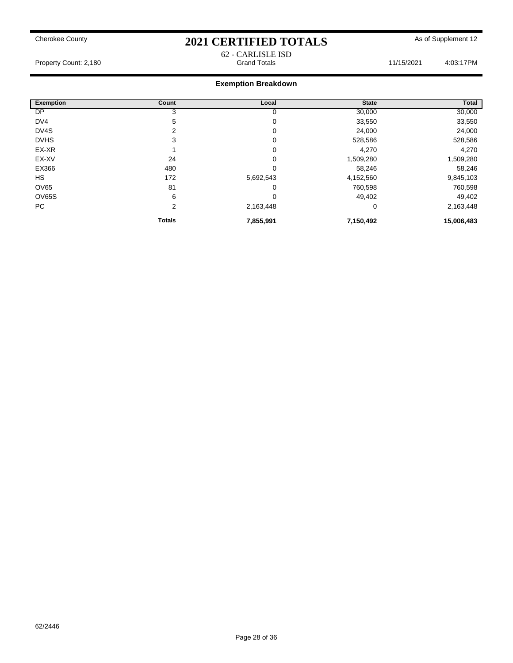62 - CARLISLE ISD

Property Count: 2,180 **Accord Totals 11/15/2021** 4:03:17PM

| <b>Exemption</b>  | Count          | Local       | <b>State</b> | Total      |
|-------------------|----------------|-------------|--------------|------------|
| <b>DP</b>         | 3              | 0           | 30,000       | 30,000     |
| DV4               | 5              | 0           | 33,550       | 33,550     |
| DV <sub>4</sub> S | $\overline{2}$ | 0           | 24,000       | 24,000     |
| <b>DVHS</b>       | 3              | 0           | 528,586      | 528,586    |
| EX-XR             |                | 0           | 4,270        | 4,270      |
| EX-XV             | 24             | 0           | 1,509,280    | 1,509,280  |
| EX366             | 480            | 0           | 58,246       | 58,246     |
| <b>HS</b>         | 172            | 5,692,543   | 4,152,560    | 9,845,103  |
| <b>OV65</b>       | 81             | 0           | 760,598      | 760,598    |
| OV65S             | 6              | $\mathbf 0$ | 49,402       | 49,402     |
| PC                | 2              | 2,163,448   | 0            | 2,163,448  |
|                   | <b>Totals</b>  | 7,855,991   | 7,150,492    | 15,006,483 |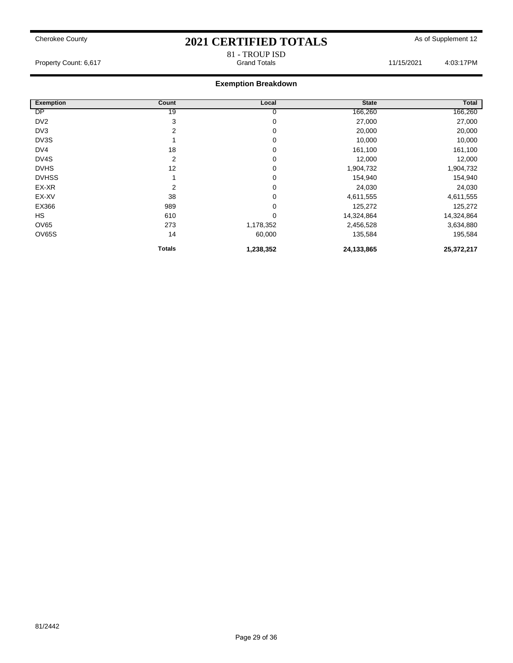## Cherokee County **2021 CERTIFIED TOTALS** As of Supplement 12 81 - TROUP ISD

Property Count: 6,617 **Accord Property Count: 6,617** Crand Totals **Grand Totals** 11/15/2021 4:03:17PM

| <b>Exemption</b> | Count          | Local       | <b>State</b> | Total      |
|------------------|----------------|-------------|--------------|------------|
| <b>DP</b>        | 19             | 0           | 166,260      | 166,260    |
| DV <sub>2</sub>  | 3              | 0           | 27,000       | 27,000     |
| DV3              | 2              | 0           | 20,000       | 20,000     |
| DV3S             |                | 0           | 10,000       | 10,000     |
| DV4              | 18             | 0           | 161,100      | 161,100    |
| DV4S             | $\overline{2}$ | 0           | 12,000       | 12,000     |
| <b>DVHS</b>      | 12             | $\mathbf 0$ | 1,904,732    | 1,904,732  |
| <b>DVHSS</b>     |                | $\mathbf 0$ | 154,940      | 154,940    |
| EX-XR            | 2              | 0           | 24,030       | 24,030     |
| EX-XV            | 38             | $\mathbf 0$ | 4,611,555    | 4,611,555  |
| EX366            | 989            | $\mathbf 0$ | 125,272      | 125,272    |
| <b>HS</b>        | 610            | $\mathbf 0$ | 14,324,864   | 14,324,864 |
| <b>OV65</b>      | 273            | 1,178,352   | 2,456,528    | 3,634,880  |
| OV65S            | 14             | 60,000      | 135,584      | 195,584    |
|                  | Totals         | 1,238,352   | 24,133,865   | 25,372,217 |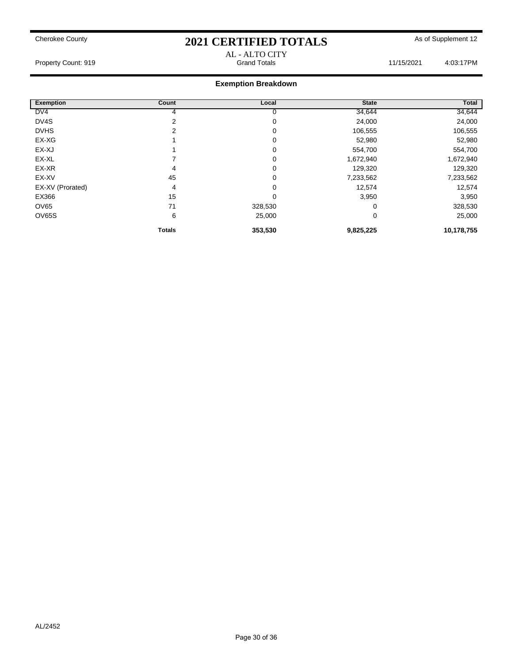Property Count: 919 19 And Totals 11/15/2021 11/15/2021 4:03:17PM

# AL - ALTO CITY

| <b>Exemption</b> | <b>Count</b>  | Local   | <b>State</b> | Total      |
|------------------|---------------|---------|--------------|------------|
| DV4              |               |         | 34,644       | 34,644     |
| DV4S             |               | 0       | 24,000       | 24,000     |
| <b>DVHS</b>      |               | 0       | 106,555      | 106,555    |
| EX-XG            |               | 0       | 52,980       | 52,980     |
| EX-XJ            |               | 0       | 554,700      | 554,700    |
| EX-XL            |               | 0       | 1,672,940    | 1,672,940  |
| EX-XR            | 4             | 0       | 129,320      | 129,320    |
| EX-XV            | 45            | 0       | 7,233,562    | 7,233,562  |
| EX-XV (Prorated) | 4             | 0       | 12,574       | 12,574     |
| EX366            | 15            | 0       | 3,950        | 3,950      |
| <b>OV65</b>      | 71            | 328,530 | 0            | 328,530    |
| <b>OV65S</b>     | 6             | 25,000  | 0            | 25,000     |
|                  |               |         |              |            |
|                  | <b>Totals</b> | 353,530 | 9,825,225    | 10,178,755 |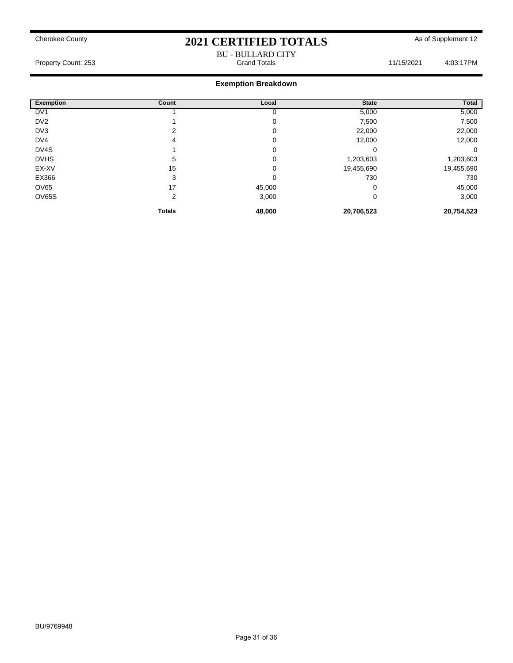#### BU - BULLARD CITY Property Count: 253 **Accord Totals 11/15/2021** 4:03:17PM

| <b>Exemption</b> | Count          | Local  | <b>State</b> | Total      |
|------------------|----------------|--------|--------------|------------|
| DV <sub>1</sub>  |                |        | 5,000        | 5,000      |
| DV <sub>2</sub>  |                | 0      | 7,500        | 7,500      |
| DV3              | 2              | 0      | 22,000       | 22,000     |
| DV4              | 4              | 0      | 12,000       | 12,000     |
| DV4S             |                | 0      | 0            | 0          |
| <b>DVHS</b>      | 5              | 0      | 1,203,603    | 1,203,603  |
| EX-XV            | 15             | 0      | 19,455,690   | 19,455,690 |
| EX366            | 3              | 0      | 730          | 730        |
| OV65             | 17             | 45,000 | 0            | 45,000     |
| OV65S            | $\overline{2}$ | 3,000  | 0            | 3,000      |
|                  | <b>Totals</b>  | 48,000 | 20,706,523   | 20,754,523 |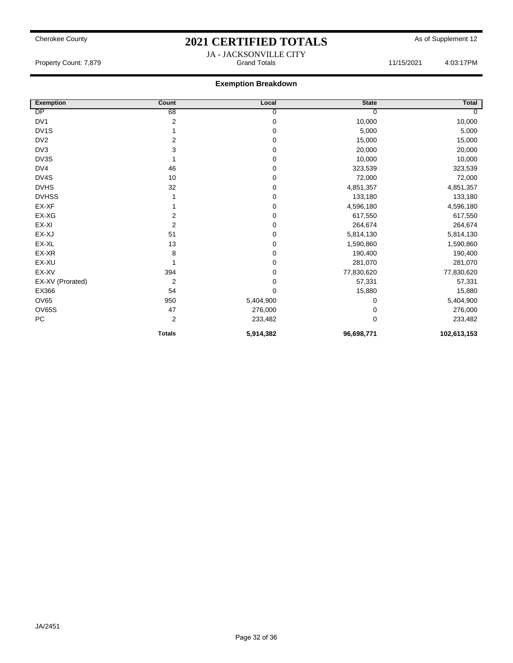#### **Exemption Breakdown**

| <b>Exemption</b>  | Count          | Local       | <b>State</b> | <b>Total</b>   |
|-------------------|----------------|-------------|--------------|----------------|
| DP                | 68             | 0           | O            | $\overline{0}$ |
| DV <sub>1</sub>   | 2              | $\mathbf 0$ | 10,000       | 10,000         |
| DV <sub>1</sub> S |                | $\mathbf 0$ | 5,000        | 5,000          |
| DV <sub>2</sub>   | 2              | $\mathbf 0$ | 15,000       | 15,000         |
| DV3               | 3              | $\mathbf 0$ | 20,000       | 20,000         |
| DV3S              |                | $\pmb{0}$   | 10,000       | 10,000         |
| DV4               | 46             | 0           | 323,539      | 323,539        |
| DV4S              | 10             | 0           | 72,000       | 72,000         |
| <b>DVHS</b>       | 32             | $\mathbf 0$ | 4,851,357    | 4,851,357      |
| <b>DVHSS</b>      |                | 0           | 133,180      | 133,180        |
| EX-XF             |                | $\mathbf 0$ | 4,596,180    | 4,596,180      |
| EX-XG             | 2              | $\pmb{0}$   | 617,550      | 617,550        |
| EX-XI             | 2              | 0           | 264,674      | 264,674        |
| EX-XJ             | 51             | 0           | 5,814,130    | 5,814,130      |
| EX-XL             | 13             | 0           | 1,590,860    | 1,590,860      |
| EX-XR             | 8              | 0           | 190,400      | 190,400        |
| EX-XU             |                | $\mathbf 0$ | 281,070      | 281,070        |
| EX-XV             | 394            | 0           | 77,830,620   | 77,830,620     |
| EX-XV (Prorated)  | 2              | 0           | 57,331       | 57,331         |
| EX366             | 54             | $\mathbf 0$ | 15,880       | 15,880         |
| OV65              | 950            | 5,404,900   | 0            | 5,404,900      |
| OV65S             | 47             | 276,000     | 0            | 276,000        |
| PC                | $\overline{2}$ | 233,482     | $\mathbf 0$  | 233,482        |
|                   | <b>Totals</b>  | 5,914,382   | 96,698,771   | 102,613,153    |

JA - JACKSONVILLE CITY Property Count: 7,879 **Accord Totals 11/15/2021** 4:03:17PM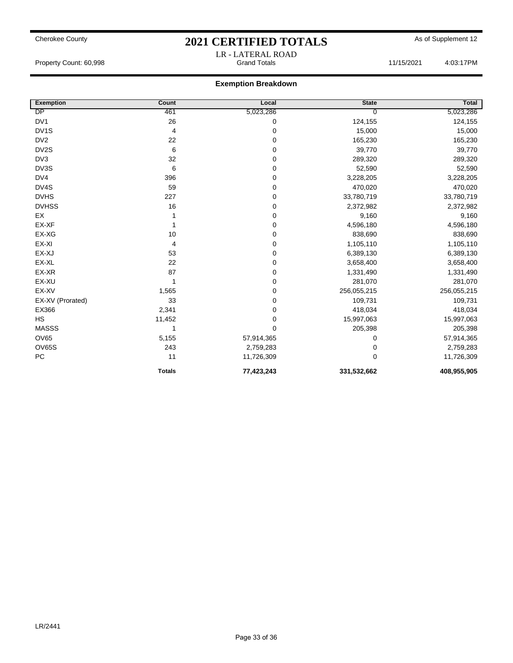### Cherokee County **2021 CERTIFIED TOTALS** As of Supplement 12 LR - LATERAL ROAD

Property Count: 60,998 **Access 11/15/2021** 4:03:17PM

| <b>Exemption</b>  | <b>Count</b>  | Local       | <b>State</b> | <b>Total</b> |
|-------------------|---------------|-------------|--------------|--------------|
| DP                | 461           | 5,023,286   | 0            | 5,023,286    |
| DV1               | 26            | $\pmb{0}$   | 124,155      | 124,155      |
| DV <sub>1</sub> S | 4             | $\mathbf 0$ | 15,000       | 15,000       |
| DV <sub>2</sub>   | 22            | 0           | 165,230      | 165,230      |
| DV2S              | 6             | $\pmb{0}$   | 39,770       | 39,770       |
| DV <sub>3</sub>   | 32            | $\pmb{0}$   | 289,320      | 289,320      |
| DV3S              | 6             | $\pmb{0}$   | 52,590       | 52,590       |
| DV4               | 396           | 0           | 3,228,205    | 3,228,205    |
| DV4S              | 59            | $\mathbf 0$ | 470,020      | 470,020      |
| <b>DVHS</b>       | 227           | $\pmb{0}$   | 33,780,719   | 33,780,719   |
| <b>DVHSS</b>      | 16            | $\mathbf 0$ | 2,372,982    | 2,372,982    |
| EX                |               | $\pmb{0}$   | 9,160        | 9,160        |
| EX-XF             |               | $\pmb{0}$   | 4,596,180    | 4,596,180    |
| EX-XG             | 10            | 0           | 838,690      | 838,690      |
| EX-XI             | 4             | $\mathbf 0$ | 1,105,110    | 1,105,110    |
| EX-XJ             | 53            | $\pmb{0}$   | 6,389,130    | 6,389,130    |
| EX-XL             | 22            | $\mathbf 0$ | 3,658,400    | 3,658,400    |
| EX-XR             | 87            | $\pmb{0}$   | 1,331,490    | 1,331,490    |
| EX-XU             |               | $\pmb{0}$   | 281,070      | 281,070      |
| EX-XV             | 1,565         | $\pmb{0}$   | 256,055,215  | 256,055,215  |
| EX-XV (Prorated)  | 33            | 0           | 109,731      | 109,731      |
| EX366             | 2,341         | $\pmb{0}$   | 418,034      | 418,034      |
| <b>HS</b>         | 11,452        | $\pmb{0}$   | 15,997,063   | 15,997,063   |
| <b>MASSS</b>      | 1             | $\mathbf 0$ | 205,398      | 205,398      |
| <b>OV65</b>       | 5,155         | 57,914,365  | 0            | 57,914,365   |
| <b>OV65S</b>      | 243           | 2,759,283   | 0            | 2,759,283    |
| PC                | 11            | 11,726,309  | 0            | 11,726,309   |
|                   | <b>Totals</b> | 77,423,243  | 331,532,662  | 408,955,905  |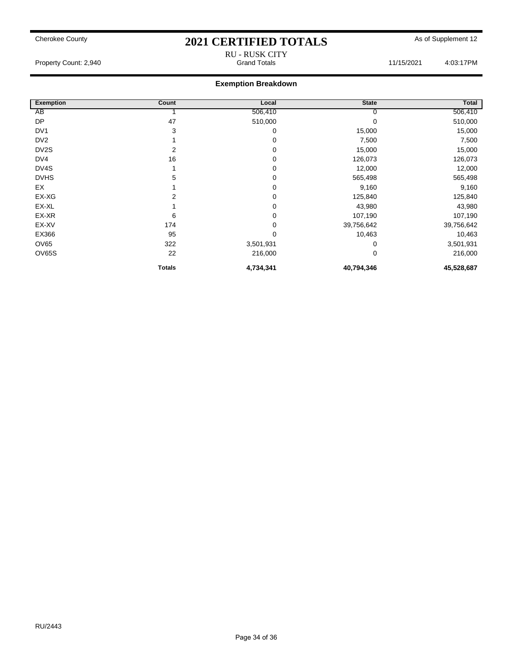RU - RUSK CITY

Property Count: 2,940 **Property Count: 2,940** Crand Totals 11/15/2021 4:03:17PM

| <b>Exemption</b>  | Count         | Local       | <b>State</b> | Total      |
|-------------------|---------------|-------------|--------------|------------|
| AB                |               | 506,410     | υ            | 506,410    |
| <b>DP</b>         | 47            | 510,000     |              | 510,000    |
| DV <sub>1</sub>   | 3             | 0           | 15,000       | 15,000     |
| DV <sub>2</sub>   |               | 0           | 7,500        | 7,500      |
| DV <sub>2</sub> S | 2             | 0           | 15,000       | 15,000     |
| DV4               | 16            | $\mathbf 0$ | 126,073      | 126,073    |
| DV4S              |               | $\mathbf 0$ | 12,000       | 12,000     |
| <b>DVHS</b>       | 5             | 0           | 565,498      | 565,498    |
| EX                |               | 0           | 9,160        | 9,160      |
| EX-XG             | 2             | 0           | 125,840      | 125,840    |
| EX-XL             |               | 0           | 43,980       | 43,980     |
| EX-XR             | 6             | $\mathbf 0$ | 107,190      | 107,190    |
| EX-XV             | 174           | 0           | 39,756,642   | 39,756,642 |
| EX366             | 95            | $\mathbf 0$ | 10,463       | 10,463     |
| <b>OV65</b>       | 322           | 3,501,931   | 0            | 3,501,931  |
| <b>OV65S</b>      | 22            | 216,000     | 0            | 216,000    |
|                   | <b>Totals</b> | 4,734,341   | 40,794,346   | 45,528,687 |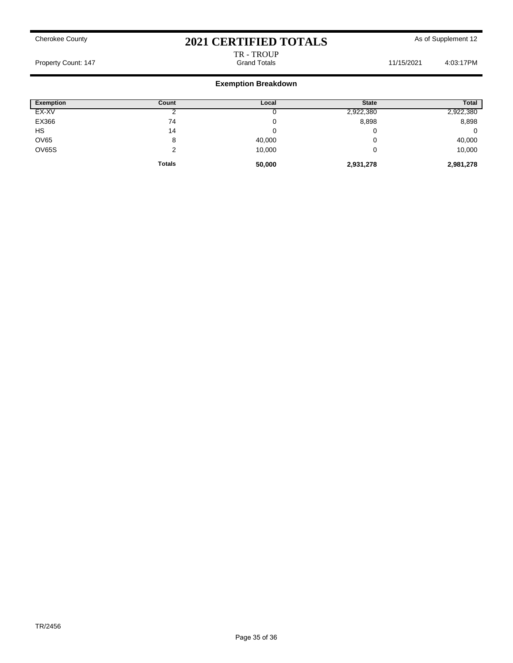# TR - TROUP<br>Grand Totals

Property Count: 147 **Count: 147** Crand Totals Grand Totals 11/15/2021 4:03:17PM

| <b>Exemption</b> | Count         | Local  | <b>State</b> | <b>Total</b> |
|------------------|---------------|--------|--------------|--------------|
| EX-XV            |               |        | 2,922,380    | 2,922,380    |
| EX366            | 74            | ν      | 8,898        | 8,898        |
| HS               | 14            |        |              | 0            |
| <b>OV65</b>      | 8             | 40,000 |              | 40,000       |
| OV65S            | ົ             | 10,000 |              | 10,000       |
|                  | <b>Totals</b> | 50,000 | 2,931,278    | 2,981,278    |